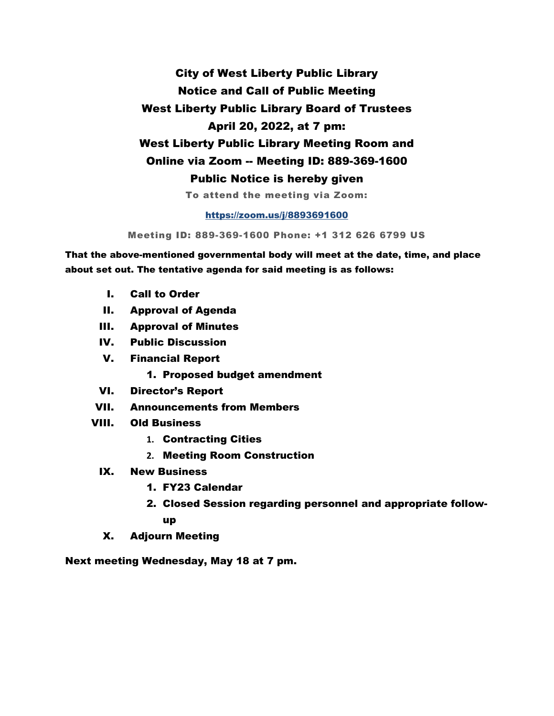City of West Liberty Public Library Notice and Call of Public Meeting West Liberty Public Library Board of Trustees April 20, 2022, at 7 pm: West Liberty Public Library Meeting Room and Online via Zoom -- Meeting ID: 889-369-1600 Public Notice is hereby given To attend the meeting via Zoom:

#### <https://zoom.us/j/8893691600>

Meeting ID: 889-369-1600 Phone: +1 312 626 6799 US

That the above-mentioned governmental body will meet at the date, time, and place about set out. The tentative agenda for said meeting is as follows:

- I. Call to Order
- II. Approval of Agenda
- III. Approval of Minutes
- IV. Public Discussion
- V. Financial Report
	- 1. Proposed budget amendment
- VI. Director's Report
- VII. Announcements from Members
- VIII. Old Business
	- **1.** Contracting Cities
	- **2.** Meeting Room Construction
	- IX. New Business
		- 1. FY23 Calendar
		- 2. Closed Session regarding personnel and appropriate followup
	- X. Adjourn Meeting

Next meeting Wednesday, May 18 at 7 pm.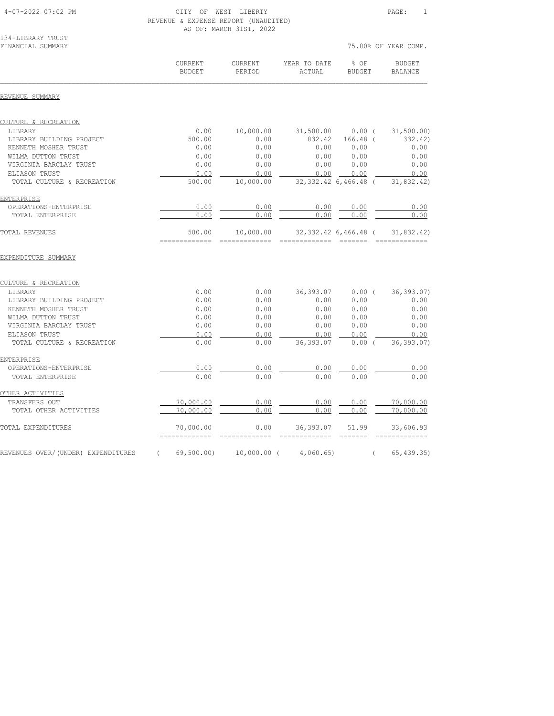<u>ENTERPRISE</u><br>OPERATIONS-ENTERPRISE

OTHER ACTIVITIES<br>TRANSFERS OUT

# 4-07-2022 07:02 PM CITY OF WEST LIBERTY PAGE: 1

|                                              | REVENUE & EXPENSE REPORT (UNAUDITED) | AS OF: MARCH 31ST, 2022  |                               |                         |                          |
|----------------------------------------------|--------------------------------------|--------------------------|-------------------------------|-------------------------|--------------------------|
| 134-LIBRARY TRUST<br>FINANCIAL SUMMARY       |                                      |                          |                               |                         | 75.00% OF YEAR COMP.     |
|                                              | <b>CURRENT</b><br><b>BUDGET</b>      | <b>CURRENT</b><br>PERIOD | YEAR TO DATE<br><b>ACTUAL</b> | $8$ OF<br><b>BUDGET</b> | BUDGET<br><b>BALANCE</b> |
| REVENUE SUMMARY                              |                                      |                          |                               |                         |                          |
| CULTURE & RECREATION                         |                                      |                          |                               |                         |                          |
| LIBRARY                                      | 0.00                                 | 10,000.00                | 31,500.00                     | 0.00(                   | 31, 500.00)              |
| LIBRARY BUILDING PROJECT                     | 500.00                               | 0.00                     | 832.42                        | $166.48$ (              | 332.42)                  |
| KENNETH MOSHER TRUST                         | 0.00                                 | 0.00                     | 0.00                          | 0.00                    | 0.00                     |
| WILMA DUTTON TRUST<br>VIRGINIA BARCLAY TRUST | 0.00<br>0.00                         | 0.00<br>0.00             | 0.00<br>0.00                  | 0.00<br>0.00            | 0.00<br>0.00             |
| ELIASON TRUST                                | 0.00                                 | 0.00                     | 0.00                          | 0.00                    | 0.00                     |
| TOTAL CULTURE & RECREATION                   | 500.00                               | 10,000.00                |                               | 32, 332.42 6, 466.48 (  | 31,832.42)               |
| ENTERPRISE                                   |                                      |                          |                               |                         |                          |
| OPERATIONS-ENTERPRISE                        | 0.00                                 | 0.00                     | 0.00                          | 0.00                    | 0.00                     |
| TOTAL ENTERPRISE                             | 0.00                                 | 0.00                     | 0.00                          | 0.00                    | 0.00                     |
| <b>TOTAL REVENUES</b>                        | 500.00                               | 10,000.00                |                               | $32,332,42$ 6,466.48 (  | 31,832.42)               |
| EXPENDITURE SUMMARY                          |                                      |                          |                               |                         |                          |
| CULTURE & RECREATION                         |                                      |                          |                               |                         |                          |
| LIBRARY                                      | 0.00                                 | 0.00                     | 36, 393.07                    | $0.00$ (                | 36, 393.07)              |
| LIBRARY BUILDING PROJECT                     | 0.00                                 | 0.00                     | 0.00                          | 0.00                    | 0.00                     |
| KENNETH MOSHER TRUST                         | 0.00                                 | 0.00                     | 0.00                          | 0.00                    | 0.00                     |
| WILMA DUTTON TRUST                           | 0.00                                 | 0.00                     | 0.00                          | 0.00                    | 0.00                     |
| VIRGINIA BARCLAY TRUST                       | 0.00                                 | 0.00                     | 0.00                          | 0.00                    | 0.00                     |
| ELIASON TRUST                                | 0.00                                 | 0.00                     | 0.00                          | 0.00                    | 0.00                     |
| TOTAL CULTURE & RECREATION                   | 0.00                                 | 0.00                     | 36, 393.07                    | 0.00(                   | 36, 393.07               |

 OPERATIONS-ENTERPRISE 0.00 0.00 0.00 0.00 0.00 TOTAL ENTERPRISE 0.00 0.00 0.00 0.00 0.00

 TRANSFERS OUT 70,000.00 0.00 0.00 0.00 70,000.00 TOTAL OTHER ACTIVITIES  $\qquad \qquad 20,000.00$   $\qquad \qquad 0.00$   $\qquad \qquad 0.00$   $\qquad \qquad 0.00$   $\qquad \qquad 70,000.00$ TOTAL EXPENDITURES 70,000.00 0.00 36,393.07 51.99 33,606.93 ============= ============= ============= ======= ============= REVENUES OVER/(UNDER) EXPENDITURES ( 69,500.00) 10,000.00 ( 4,060.65) ( 65,439.35)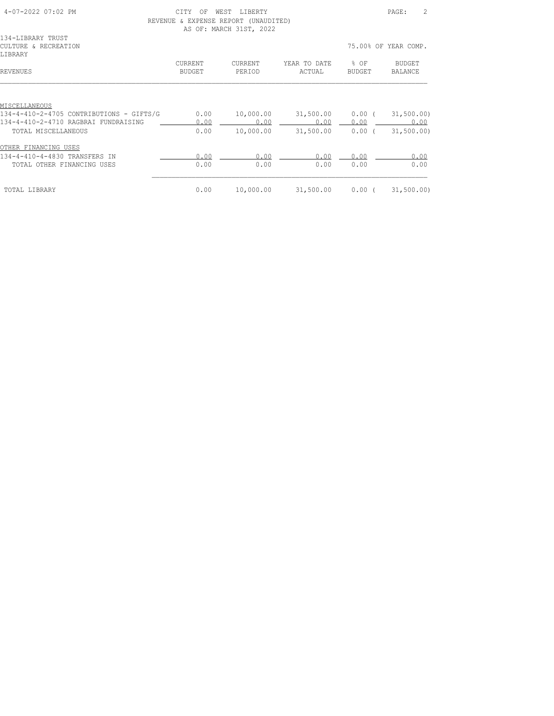| 4-07-2022 07:02 PM                       | CTTY<br>OF    | WEST<br>LIBERTY              |              |               | 2<br>PAGE:           |
|------------------------------------------|---------------|------------------------------|--------------|---------------|----------------------|
| REVENUE                                  |               | & EXPENSE REPORT (UNAUDITED) |              |               |                      |
|                                          |               | AS OF: MARCH 31ST, 2022      |              |               |                      |
| 134-LIBRARY TRUST                        |               |                              |              |               |                      |
| CULTURE & RECREATION                     |               |                              |              |               | 75.00% OF YEAR COMP. |
| LIBRARY                                  |               |                              |              |               |                      |
|                                          |               |                              |              |               |                      |
|                                          | CURRENT       | CURRENT                      | YEAR TO DATE | % OF          | BUDGET               |
| <b>REVENUES</b>                          | <b>BUDGET</b> | PERIOD                       | ACTUAL       | <b>BUDGET</b> | <b>BALANCE</b>       |
|                                          |               |                              |              |               |                      |
|                                          |               |                              |              |               |                      |
| MISCELLANEOUS                            |               |                              |              |               |                      |
| 134-4-410-2-4705 CONTRIBUTIONS - GIFTS/G | 0.00          | 10,000.00                    | 31,500.00    | 0.00(         | 31, 500.00)          |
| 134-4-410-2-4710 RAGBRAI FUNDRAISING     | 0.00          | 0.00                         | 0.00         | 0.00          | 0.00                 |
| TOTAL MISCELLANEOUS                      | 0.00          | 10,000.00                    | 31,500.00    | $0.00$ (      | 31,500.00)           |
|                                          |               |                              |              |               |                      |
| OTHER FINANCING USES                     |               |                              |              |               |                      |
| 134-4-410-4-4830 TRANSFERS IN            | 0.00          | 0.00                         | 0.00         | 0.00          | 0.00                 |
| TOTAL OTHER FINANCING USES               | 0.00          | 0.00                         | 0.00         | 0.00          | 0.00                 |
|                                          |               |                              |              |               |                      |
| TOTAL LIBRARY                            | 0.00          | 10,000.00                    | 31,500.00    | $0.00$ (      | 31,500.00)           |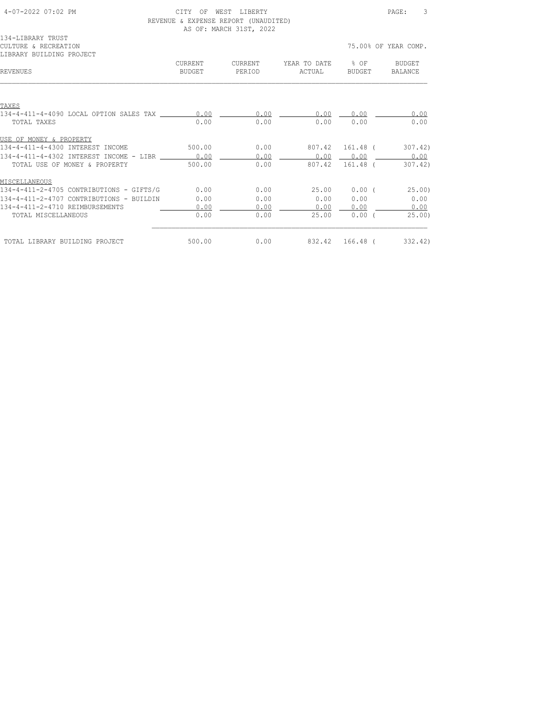| 4-07-2022 07:02 PM                                                    | <b>CTTY</b><br>OF. | WEST LIBERTY<br>REVENUE & EXPENSE REPORT (UNAUDITED)<br>AS OF: MARCH 31ST, 2022 |                                    |                 | 3<br>PAGE:                  |
|-----------------------------------------------------------------------|--------------------|---------------------------------------------------------------------------------|------------------------------------|-----------------|-----------------------------|
| 134-LIBRARY TRUST<br>CULTURE & RECREATION<br>LIBRARY BUILDING PROJECT |                    |                                                                                 |                                    |                 | 75.00% OF YEAR COMP.        |
| <b>REVENUES</b>                                                       | CURRENT<br>BUDGET  | CURRENT<br>PERIOD                                                               | YEAR TO DATE 8 OF BUDGET<br>ACTUAL |                 | BUDGET BALANCE              |
| TAXES                                                                 |                    |                                                                                 |                                    |                 |                             |
| 134-4-411-4-4090 LOCAL OPTION SALES TAX 0.00                          |                    | 0.00                                                                            | $0.00$ $0.00$ $0.00$ $0.00$        |                 |                             |
| TOTAL TAXES                                                           | 0.00               | 0.00                                                                            | 0.00                               | 0.00            | 0.00                        |
| USE OF MONEY & PROPERTY                                               |                    |                                                                                 |                                    |                 |                             |
| 134-4-411-4-4300 INTEREST INCOME 500.00 0.00                          |                    |                                                                                 | 807.42 161.48 (                    |                 | 307.42)                     |
| 134-4-411-4-4302 INTEREST INCOME - LIBR 0.00                          |                    | 0.00                                                                            |                                    |                 | $0.00$ $0.00$ $0.00$ $0.00$ |
| TOTAL USE OF MONEY & PROPERTY                                         | 500.00             | 0.00                                                                            |                                    | 807.42 161.48 ( | 307.42)                     |
| MISCELLANEOUS                                                         |                    |                                                                                 |                                    |                 |                             |
| $134-4-411-2-4705$ CONTRIBUTIONS - GIFTS/G $0.00$                     |                    | 0.00                                                                            | 25.00 0.00 (25.00)                 |                 |                             |
| 134-4-411-2-4707 CONTRIBUTIONS - BUILDIN                              | 0.00               | 0.00                                                                            | 0.00                               |                 | $0.00$ 0.00                 |
| 134-4-411-2-4710 REIMBURSEMENTS                                       | 0.00               | 0.00                                                                            |                                    |                 | $0.00$ $0.00$ $0.00$        |
| TOTAL MISCELLANEOUS                                                   | 0.00               | 0.00                                                                            | 25.00                              | $0.00$ (        | 25.00                       |
| TOTAL LIBRARY BUILDING PROJECT                                        | 500.00             | 0.00                                                                            |                                    | 832.42 166.48 ( | 332.42)                     |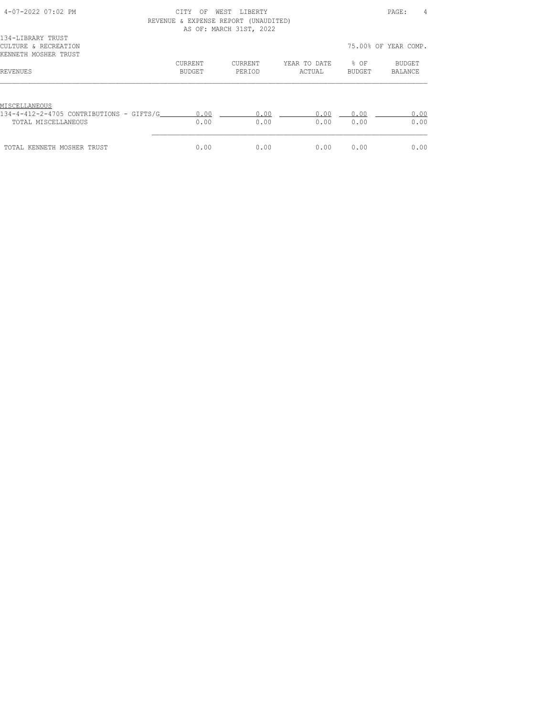| 4-07-2022 07:02 PM                                                | CTTY.<br>OF<br>REVENUE & EXPENSE REPORT (UNAUDITED) | WEST<br>LIBERTY<br>AS OF: MARCH 31ST, 2022 |                        |                | 4<br>PAGE:           |
|-------------------------------------------------------------------|-----------------------------------------------------|--------------------------------------------|------------------------|----------------|----------------------|
| 134-LIBRARY TRUST<br>CULTURE & RECREATION<br>KENNETH MOSHER TRUST |                                                     |                                            |                        |                | 75.00% OF YEAR COMP. |
| REVENUES                                                          | CURRENT<br>BUDGET                                   | CURRENT<br>PERIOD                          | YEAR TO DATE<br>ACTUAL | 8 OF<br>BUDGET | BUDGET<br>BALANCE    |
| MISCELLANEOUS                                                     |                                                     |                                            |                        |                |                      |
| 134-4-412-2-4705 CONTRIBUTIONS - GIFTS/G<br>TOTAL MISCELLANEOUS   | 0.00<br>0.00                                        | 0.00<br>0.00                               | 0.00<br>0.00           | 0.00<br>0.00   | 0.00<br>0.00         |
| TOTAL KENNETH MOSHER TRUST                                        | 0.00                                                | 0.00                                       | 0.00                   | 0.00           | 0.00                 |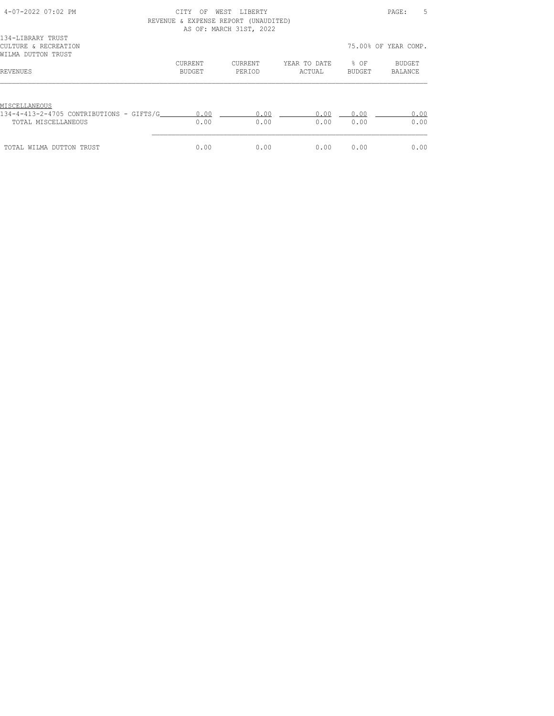| 4-07-2022 07:02 PM                                                 | CITY<br>OF<br>REVENUE & EXPENSE REPORT (UNAUDITED) | WEST<br>LIBERTY<br>AS OF: MARCH 31ST, 2022 |                        |                            | 5<br>PAGE:           |
|--------------------------------------------------------------------|----------------------------------------------------|--------------------------------------------|------------------------|----------------------------|----------------------|
| 134-LIBRARY TRUST<br>CULTURE & RECREATION<br>WILMA DUTTON TRUST    |                                                    |                                            |                        |                            | 75.00% OF YEAR COMP. |
| REVENUES                                                           | CURRENT<br>BUDGET                                  | CURRENT<br>PERIOD                          | YEAR TO DATE<br>ACTUAL | $\frac{8}{6}$ OF<br>BUDGET | BUDGET<br>BALANCE    |
| MISCELLANEOUS<br>$134-4-413-2-4705$ CONTRIBUTIONS - GIFTS/G $0.00$ |                                                    | 0.00                                       | 0.00                   | 0.00                       | 0.00                 |
| TOTAL MISCELLANEOUS                                                | 0.00                                               | 0.00                                       | 0.00                   | 0.00                       | 0.00                 |
| TOTAL WILMA DUTTON TRUST                                           | 0.00                                               | 0.00                                       | 0.00                   | 0.00                       | 0.00                 |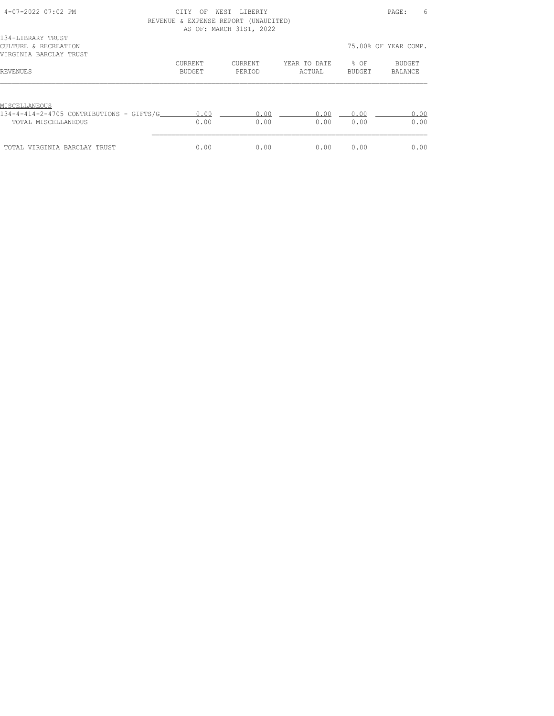| 4-07-2022 07:02 PM                                                               | CITY<br>ΟF<br>REVENUE & EXPENSE REPORT (UNAUDITED) | WEST<br>LIBERTY<br>AS OF: MARCH 31ST, 2022 |                        |                  | 6<br>PAGE:           |
|----------------------------------------------------------------------------------|----------------------------------------------------|--------------------------------------------|------------------------|------------------|----------------------|
| 134-LIBRARY TRUST<br>CULTURE & RECREATION<br>VIRGINIA BARCLAY TRUST              |                                                    |                                            |                        |                  | 75.00% OF YEAR COMP. |
| REVENUES                                                                         | <b>CURRENT</b><br>BUDGET                           | CURRENT<br>PERIOD                          | YEAR TO DATE<br>ACTUAL | $8$ OF<br>BUDGET | BUDGET<br>BALANCE    |
| MISCELLANEOUS<br>134-4-414-2-4705 CONTRIBUTIONS - GIFTS/G<br>TOTAL MISCELLANEOUS | 0.00<br>0.00                                       | 0.00<br>0.00                               | 0.00<br>0.00           | 0.00<br>0.00     | 0.00<br>0.00         |
| TOTAL VIRGINIA BARCLAY TRUST                                                     | 0.00                                               | 0.00                                       | 0.00                   | 0.00             | 0.00                 |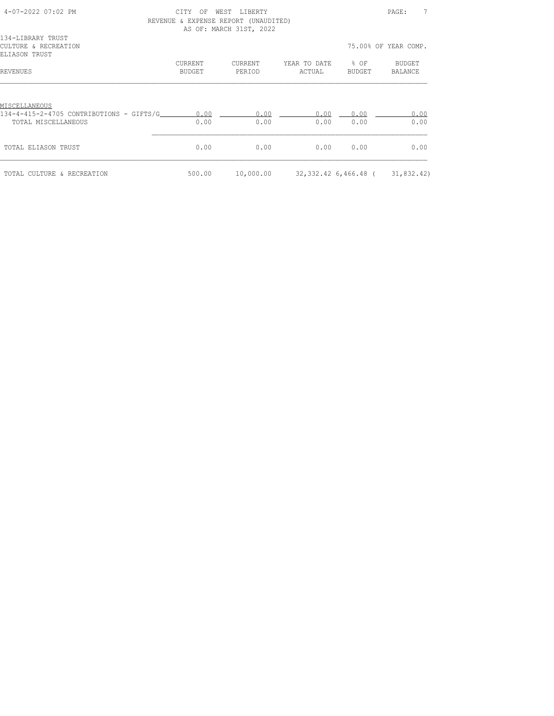| 4-07-2022 07:02 PM                                                               | C.T.T.Y<br>OF     | WEST<br><b>LIBERTY</b><br>REVENUE & EXPENSE REPORT (UNAUDITED)<br>AS OF: MARCH 31ST, 2022 |                                |                            | 7<br>PAGE:           |
|----------------------------------------------------------------------------------|-------------------|-------------------------------------------------------------------------------------------|--------------------------------|----------------------------|----------------------|
| 134-LIBRARY TRUST<br>CULTURE & RECREATION<br>ELIASON TRUST                       |                   |                                                                                           |                                |                            | 75.00% OF YEAR COMP. |
| REVENUES                                                                         | CURRENT<br>BUDGET | CURRENT<br>PERIOD                                                                         | YEAR TO DATE<br>ACTUAL         | $\frac{8}{6}$ OF<br>BUDGET | BUDGET<br>BALANCE    |
| MISCELLANEOUS<br>134-4-415-2-4705 CONTRIBUTIONS - GIFTS/G<br>TOTAL MISCELLANEOUS | 0.00<br>0.00      | 0.00<br>0.00                                                                              | 0.00<br>0.00                   | 0.00<br>0.00               | 0.00<br>0.00         |
| TOTAL ELIASON TRUST                                                              | 0.00              | 0.00                                                                                      | 0.00                           | 0.00                       | 0.00                 |
| TOTAL CULTURE & RECREATION                                                       | 500.00            | 10,000.00                                                                                 | 32,332.42 6,466.48 (31,832.42) |                            |                      |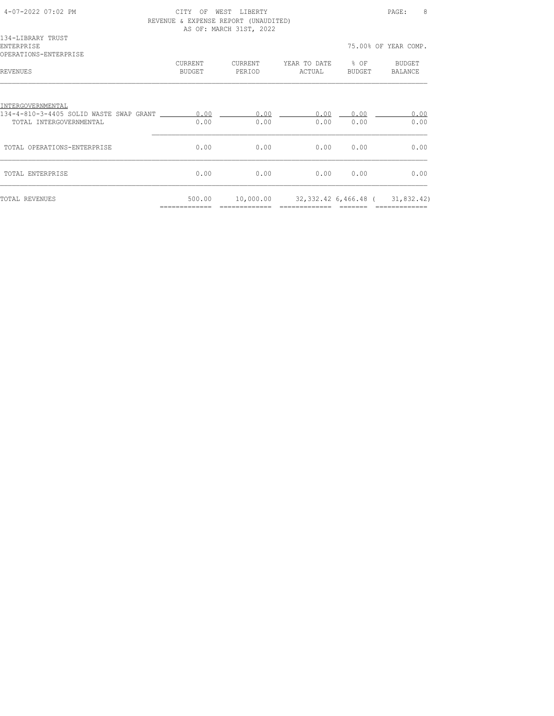| $4 - 07 - 2022$ 07:02 PM                                              | CTTY<br>OF        | WEST<br><b>LIBERTY</b><br>REVENUE & EXPENSE REPORT (UNAUDITED)<br>AS OF: MARCH 31ST, 2022 |                                    |           | 8<br>PAGE:               |
|-----------------------------------------------------------------------|-------------------|-------------------------------------------------------------------------------------------|------------------------------------|-----------|--------------------------|
| 134-LIBRARY TRUST<br><b>ENTERPRISE</b><br>OPERATIONS-ENTERPRISE       |                   |                                                                                           |                                    |           | 75.00% OF YEAR COMP.     |
| <b>REVENUES</b>                                                       | CURRENT<br>BUDGET | CURRENT<br>PERIOD                                                                         | YEAR TO DATE % OF BUDGET<br>ACTUAL | BUDGET    | BALANCE                  |
| INTERGOVERNMENTAL<br>134-4-810-3-4405 SOLID WASTE SWAP GRANT ________ | 0.00              | 0.00                                                                                      | 0.00                               | 0.00      | 0.00                     |
| TOTAL INTERGOVERNMENTAL                                               | 0.00              | 0.00                                                                                      | 0.00                               | 0.00      | 0.00                     |
| TOTAL OPERATIONS-ENTERPRISE                                           | 0.00              | 0.00                                                                                      |                                    | 0.00 0.00 | 0.00                     |
| TOTAL ENTERPRISE                                                      | 0.00              | 0.00                                                                                      |                                    | 0.0000000 | 0.00                     |
| <b>TOTAL REVENUES</b>                                                 | 500.00            | 10,000.00                                                                                 | 32,332.42 6,466.48 (               |           | 31,832.42)<br>========== |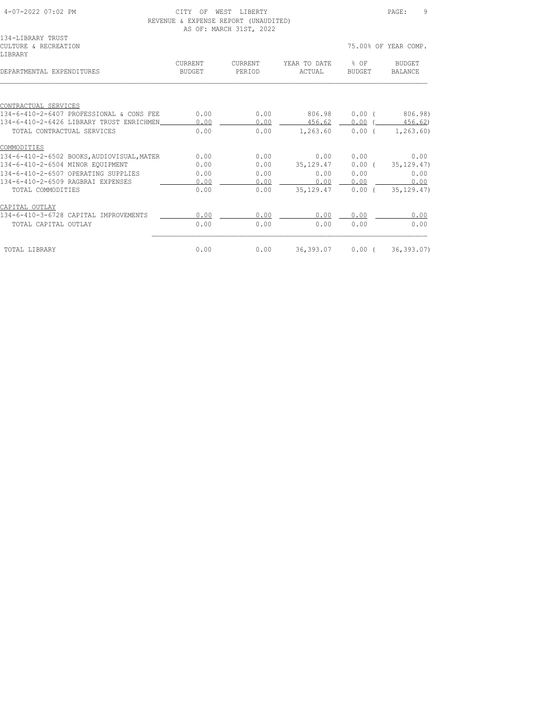| 4-07-2022 07:02 PM | <b>MEST</b><br>ヘエポン<br>OF.<br>TRERTY. | PAGE |  |
|--------------------|---------------------------------------|------|--|
|                    | REVENUE & EXPENSE REPORT (UNAUDITED)  |      |  |
|                    | 30 AB, M3DAII 31AM, 3033              |      |  |

AUDITED) AS OF: MARCH 31ST, 2022

|                |                |              |          | 75.00% OF YEAR COMP.                                                       |
|----------------|----------------|--------------|----------|----------------------------------------------------------------------------|
| <b>CURRENT</b> | <b>CURRENT</b> | YEAR TO DATE | $8$ OF   | BUDGET<br>BALANCE                                                          |
|                |                |              |          |                                                                            |
|                |                |              |          |                                                                            |
| 0.00           | 0.00           | 806.98       | 0.00(    | 806.98)                                                                    |
| 0.00           | 0.00           |              | 0.00(    | 456.62                                                                     |
| 0.00           | 0.00           | 1,263.60     | 0.00(    | 1, 263, 60)                                                                |
|                |                |              |          |                                                                            |
| 0.00           | 0.00           | 0.00         | 0.00     | 0.00                                                                       |
| 0.00           | 0.00           |              | $0.00$ ( | 35, 129.47)                                                                |
| 0.00           | 0.00           | 0.00         | 0.00     | 0.00                                                                       |
| 0.00           | 0.00           | 0.00         | 0.00     | 0.00                                                                       |
| 0.00           | 0.00           |              | $0.00$ ( | 35, 129, 47)                                                               |
|                |                |              |          |                                                                            |
| 0.00           | 0.00           | 0.00         | 0.00     | 0.00                                                                       |
| 0.00           | 0.00           | 0.00         | 0.00     | 0.00                                                                       |
| 0.00           | 0.00           |              |          |                                                                            |
|                | <b>BUDGET</b>  | PERIOD       | ACTUAL   | BUDGET<br>456.62<br>35, 129. 47<br>35,129.47<br>36,393.07 0.00 (36,393.07) |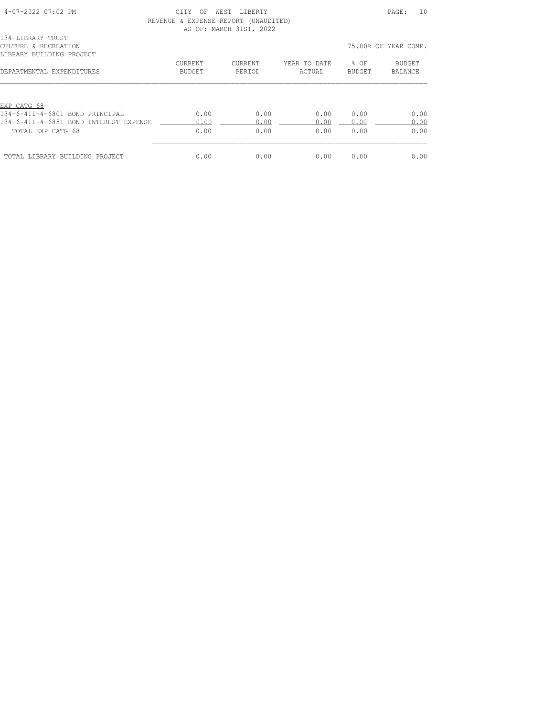| 4-07-2022 07:02 PM                               | CITY<br>ΟF                           | WEST LIBERTY            |              |        | 10<br>PAGE:          |
|--------------------------------------------------|--------------------------------------|-------------------------|--------------|--------|----------------------|
|                                                  | REVENUE & EXPENSE REPORT (UNAUDITED) | AS OF: MARCH 31ST, 2022 |              |        |                      |
| 134-LIBRARY TRUST                                |                                      |                         |              |        |                      |
| CULTURE & RECREATION<br>LIBRARY BUILDING PROJECT |                                      |                         |              |        | 75.00% OF YEAR COMP. |
|                                                  | CURRENT                              | CURRENT                 | YEAR TO DATE | % OF   | BUDGET               |
| DEPARTMENTAL EXPENDITURES                        | BUDGET                               | PERIOD                  | ACTUAL       | BUDGET | BALANCE              |
| EXP CATG 68                                      |                                      |                         |              |        |                      |
| 134-6-411-4-6801 BOND PRINCIPAL                  | 0.00                                 | 0.00                    | 0.00         | 0.00   | 0.00                 |
| 134-6-411-4-6851 BOND INTEREST EXPENSE           | 0.00                                 | 0.00                    | 0.00         | 0.00   | 0.00                 |
| TOTAL EXP CATG 68                                | 0.00                                 | 0.00                    | 0.00         | 0.00   | 0.00                 |
| TOTAL LIBRARY BUILDING PROJECT                   | 0.00                                 | 0.00                    | 0.00         | 0.00   | 0.00                 |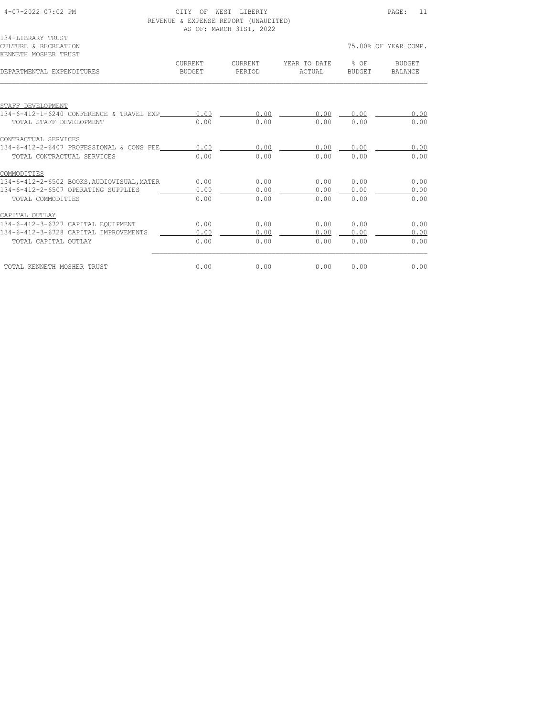| 4-07-2022 07:02 PM                            | CITY<br>WEST LIBERTY<br>OF<br>REVENUE & EXPENSE REPORT (UNAUDITED)<br>AS OF: MARCH 31ST, 2022 |         |              |        |                      |
|-----------------------------------------------|-----------------------------------------------------------------------------------------------|---------|--------------|--------|----------------------|
| 134-LIBRARY TRUST                             |                                                                                               |         |              |        |                      |
| CULTURE & RECREATION                          |                                                                                               |         |              |        | 75.00% OF YEAR COMP. |
| KENNETH MOSHER TRUST                          |                                                                                               |         |              |        |                      |
|                                               | CURRENT                                                                                       | CURRENT | YEAR TO DATE | % OF   | BUDGET               |
| DEPARTMENTAL EXPENDITURES                     | BUDGET                                                                                        | PERIOD  | ACTUAL       | BUDGET | BALANCE              |
| STAFF DEVELOPMENT                             |                                                                                               |         |              |        |                      |
| 134-6-412-1-6240 CONFERENCE & TRAVEL EXP 0.00 |                                                                                               | 0.00    | 0.00         | 0.00   | 0.00                 |
| TOTAL STAFF DEVELOPMENT                       | 0.00                                                                                          | 0.00    | 0.00         | 0.00   | 0.00                 |
|                                               |                                                                                               |         |              |        |                      |
| CONTRACTUAL SERVICES                          |                                                                                               |         |              |        |                      |
| 134-6-412-2-6407 PROFESSIONAL & CONS FEE 0.00 |                                                                                               | 0.00    | 0.00         | 0.00   | 0.00                 |
| TOTAL CONTRACTUAL SERVICES                    | 0.00                                                                                          | 0.00    | 0.00         | 0.00   | 0.00                 |
| COMMODITIES                                   |                                                                                               |         |              |        |                      |
| 134-6-412-2-6502 BOOKS, AUDIOVISUAL, MATER    | 0.00                                                                                          | 0.00    | 0.00         | 0.00   | 0.00                 |
| 134-6-412-2-6507 OPERATING SUPPLIES           | 0.00                                                                                          | 0.00    | 0.00         | 0.00   | 0.00                 |
| TOTAL COMMODITIES                             | 0.00                                                                                          | 0.00    | 0.00         | 0.00   | 0.00                 |
| CAPITAL OUTLAY                                |                                                                                               |         |              |        |                      |
| 134-6-412-3-6727 CAPITAL EOUIPMENT            | 0.00                                                                                          | 0.00    | 0.00         | 0.00   | 0.00                 |
| 134-6-412-3-6728 CAPITAL IMPROVEMENTS         | 0.00                                                                                          | 0.00    | 0.00         | 0.00   | 0.00                 |
| TOTAL CAPITAL OUTLAY                          | 0.00                                                                                          | 0.00    | 0.00         | 0.00   | 0.00                 |
| TOTAL KENNETH MOSHER TRUST                    | 0.00                                                                                          | 0.00    | 0.00         | 0.00   | 0.00                 |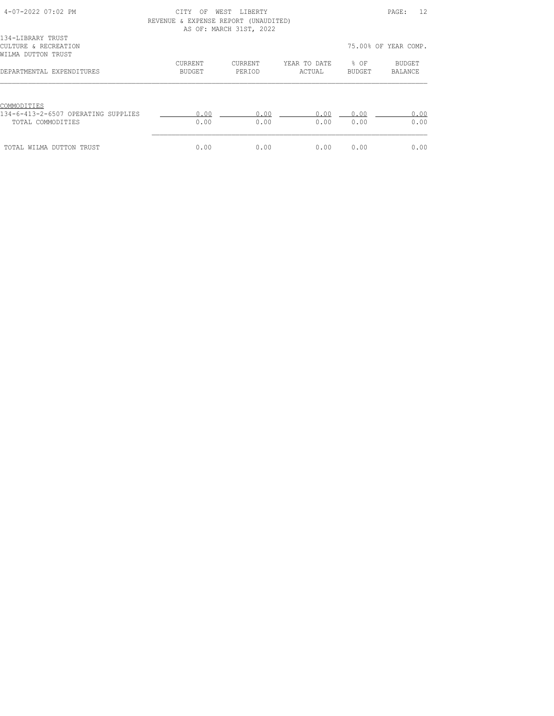| $4 - 07 - 2022$ 07:02 PM            | CITY<br>OF                           | WEST LIBERTY            |              |        | 12<br>PAGE:          |
|-------------------------------------|--------------------------------------|-------------------------|--------------|--------|----------------------|
|                                     | REVENUE & EXPENSE REPORT (UNAUDITED) |                         |              |        |                      |
|                                     |                                      | AS OF: MARCH 31ST, 2022 |              |        |                      |
| 134-LIBRARY TRUST                   |                                      |                         |              |        |                      |
| CULTURE & RECREATION                |                                      |                         |              |        | 75.00% OF YEAR COMP. |
| WILMA DUTTON TRUST                  |                                      |                         |              |        |                      |
|                                     | <b>CURRENT</b>                       | CURRENT                 | YEAR TO DATE | % OF   | BUDGET               |
| DEPARTMENTAL EXPENDITURES           | BUDGET                               | PERIOD                  | ACTUAL       | BUDGET | BALANCE              |
|                                     |                                      |                         |              |        |                      |
|                                     |                                      |                         |              |        |                      |
|                                     |                                      |                         |              |        |                      |
| COMMODITIES                         |                                      |                         |              |        |                      |
| 134-6-413-2-6507 OPERATING SUPPLIES | 0.00                                 | 0.00                    | 0.00         | 0.00   | 0.00                 |
| TOTAL COMMODITIES                   | 0.00                                 | 0.00                    | 0.00         | 0.00   | 0.00                 |
|                                     |                                      |                         |              |        |                      |
|                                     |                                      |                         |              |        |                      |
| TOTAL WILMA DUTTON TRUST            | 0.00                                 | 0.00                    | 0.00         | 0.00   | 0.00                 |
|                                     |                                      |                         |              |        |                      |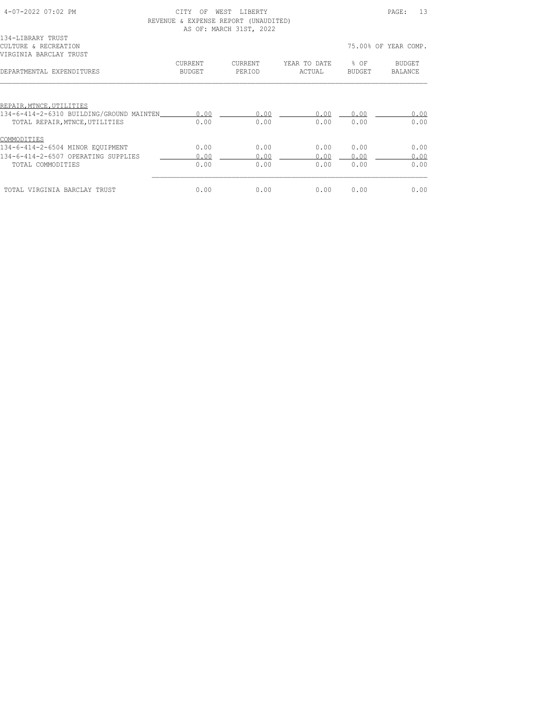| $4 - 07 - 2022$ 07:02 PM                 | OF<br><b>CTTY</b> | WEST LIBERTY                         |              |        | 13<br>PAGE:          |
|------------------------------------------|-------------------|--------------------------------------|--------------|--------|----------------------|
|                                          |                   | REVENUE & EXPENSE REPORT (UNAUDITED) |              |        |                      |
|                                          |                   | AS OF: MARCH 31ST, 2022              |              |        |                      |
| 134-LIBRARY TRUST                        |                   |                                      |              |        |                      |
| CULTURE & RECREATION                     |                   |                                      |              |        | 75.00% OF YEAR COMP. |
| VIRGINIA BARCLAY TRUST                   |                   |                                      |              |        |                      |
|                                          | CURRENT           | CURRENT                              | YEAR TO DATE | % OF   | BUDGET               |
| DEPARTMENTAL EXPENDITURES                | <b>BUDGET</b>     | PERIOD                               | ACTUAL       | BUDGET | BALANCE              |
|                                          |                   |                                      |              |        |                      |
|                                          |                   |                                      |              |        |                      |
| REPAIR, MTNCE, UTILITIES                 |                   |                                      |              |        |                      |
| 134-6-414-2-6310 BUILDING/GROUND MAINTEN | 0.00              | 0.00                                 | 0.00         | 0.00   | 0.00                 |
| TOTAL REPAIR, MTNCE, UTILITIES           | 0.00              | 0.00                                 | 0.00         | 0.00   | 0.00                 |
|                                          |                   |                                      |              |        |                      |
| COMMODITIES                              |                   |                                      |              |        |                      |
| 134-6-414-2-6504 MINOR EOUIPMENT         | 0.00              | 0.00                                 | 0.00         | 0.00   | 0.00                 |
| 134-6-414-2-6507 OPERATING SUPPLIES      | 0.00              | 0.00                                 | 0.00         | 0.00   | 0.00                 |
| TOTAL COMMODITIES                        | 0.00              | 0.00                                 | 0.00         | 0.00   | 0.00                 |
|                                          |                   |                                      |              |        |                      |
| TOTAL VIRGINIA BARCLAY TRUST             | 0.00              | 0.00                                 | 0.00         | 0.00   | 0.00                 |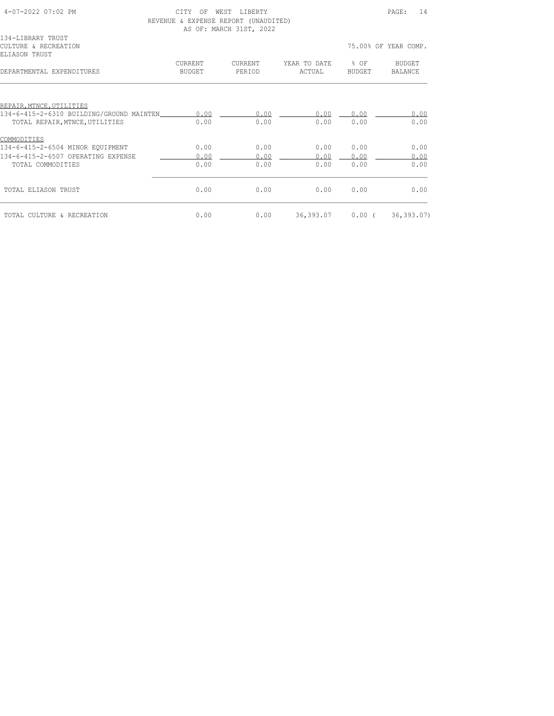| CTTY<br>OF        |                                                  |                                         |                                                      | PAGE:<br>14              |
|-------------------|--------------------------------------------------|-----------------------------------------|------------------------------------------------------|--------------------------|
|                   |                                                  |                                         |                                                      | 75.00% OF YEAR COMP.     |
| CURRENT<br>BUDGET | CURRENT<br>PERIOD                                | YEAR TO DATE<br>ACTUAL                  | $8$ OF<br>BUDGET                                     | BUDGET<br><b>BALANCE</b> |
|                   |                                                  |                                         |                                                      |                          |
|                   |                                                  |                                         |                                                      | 0.00                     |
| 0.00              | 0.00                                             | 0.00                                    | 0.00                                                 | 0.00                     |
|                   |                                                  |                                         |                                                      |                          |
| 0.00              | 0.00                                             | 0.00                                    | 0.00                                                 | 0.00                     |
| 0.00              | 0.00                                             | 0.00                                    | 0.00                                                 | 0.00                     |
| 0.00              | 0.00                                             | 0.00                                    | 0.00                                                 | 0.00                     |
| 0.00              | 0.00                                             | 0.00                                    | 0.00                                                 | 0.00                     |
| 0.00              | 0.00                                             |                                         |                                                      | 36, 393.07               |
|                   | 0.00<br>134-6-415-2-6310 BUILDING/GROUND MAINTEN | WEST LIBERTY<br>AS OF: MARCH 31ST, 2022 | REVENUE & EXPENSE REPORT (UNAUDITED)<br>0.00<br>0.00 | 0.00<br>36,393.07 0.00 ( |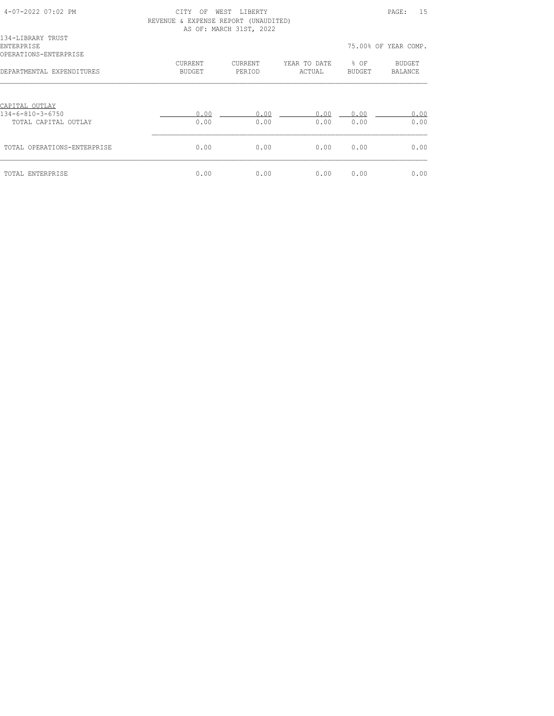| 4-07-2022 07:02 PM                                       | OF<br>CITY<br>REVENUE & EXPENSE REPORT (UNAUDITED) | WEST LIBERTY<br>AS OF: MARCH 31ST, 2022 |                        |                       | PAGE:<br>15              |
|----------------------------------------------------------|----------------------------------------------------|-----------------------------------------|------------------------|-----------------------|--------------------------|
| 134-LIBRARY TRUST<br>ENTERPRISE<br>OPERATIONS-ENTERPRISE |                                                    |                                         |                        |                       | 75.00% OF YEAR COMP.     |
| DEPARTMENTAL EXPENDITURES                                | CURRENT<br>BUDGET                                  | CURRENT<br>PERIOD                       | YEAR TO DATE<br>ACTUAL | % OF<br><b>BUDGET</b> | <b>BUDGET</b><br>BALANCE |
| CAPITAL OUTLAY<br>134-6-810-3-6750                       | 0.00                                               | 0.00                                    | 0.00                   | 0.00                  | 0.00                     |
| TOTAL CAPITAL OUTLAY                                     | 0.00                                               | 0.00                                    | 0.00                   | 0.00                  | 0.00                     |
| TOTAL OPERATIONS-ENTERPRISE                              | 0.00                                               | 0.00                                    | 0.00                   | 0.00                  | 0.00                     |
| TOTAL ENTERPRISE                                         | 0.00                                               | 0.00                                    | 0.00                   | 0.00                  | 0.00                     |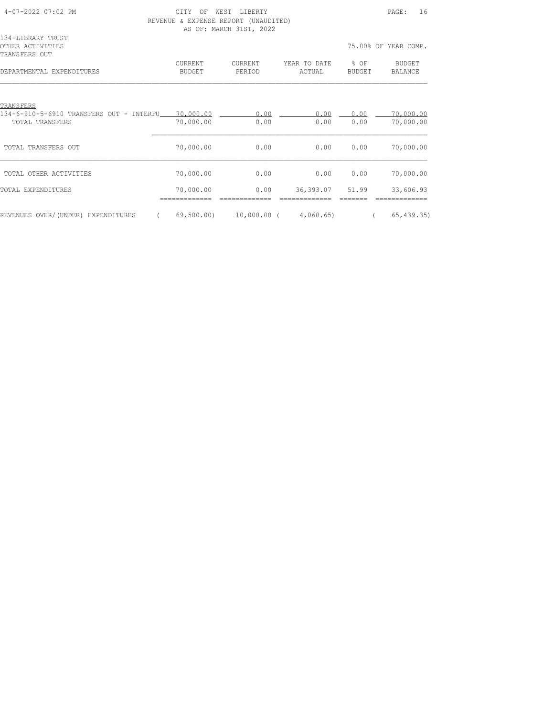| 4-07-2022 07:02 PM                                                                    | CTTY<br>OF<br>REVENUE & EXPENSE REPORT (UNAUDITED) | WEST LIBERTY<br>AS OF: MARCH 31ST, 2022 |                        |                | PAGE:<br>16              |
|---------------------------------------------------------------------------------------|----------------------------------------------------|-----------------------------------------|------------------------|----------------|--------------------------|
| 134-LIBRARY TRUST<br>OTHER ACTIVITIES<br>TRANSFERS OUT                                |                                                    |                                         |                        |                | 75.00% OF YEAR COMP.     |
| DEPARTMENTAL EXPENDITURES                                                             | CURRENT<br>BUDGET                                  | CURRENT<br>PERIOD                       | YEAR TO DATE<br>ACTUAL | % OF<br>BUDGET | BUDGET<br><b>BALANCE</b> |
| TRANSFERS                                                                             |                                                    |                                         |                        |                |                          |
| 134-6-910-5-6910 TRANSFERS OUT - INTERFU 70,000.00 100 0.00<br><b>TOTAL TRANSFERS</b> | 70,000.00                                          | 0.00                                    | 0.00<br>0.00           | 0.00<br>0.00   | 70,000.00<br>70,000.00   |
| TOTAL TRANSFERS OUT                                                                   | 70,000.00                                          | 0.00                                    | 0.00                   | 0.00           | 70,000.00                |
| TOTAL OTHER ACTIVITIES                                                                | 70,000.00                                          | 0.00                                    | 0.00                   | 0.00           | 70,000.00                |
| TOTAL EXPENDITURES                                                                    | 70,000.00                                          | 0.00                                    | 36,393.07              | 51.99          | 33,606.93                |
| REVENUES OVER/(UNDER) EXPENDITURES<br>$\sqrt{2}$                                      |                                                    | 69,500.00) 10,000.00 ( 4,060.65)        |                        |                | 65, 439.35               |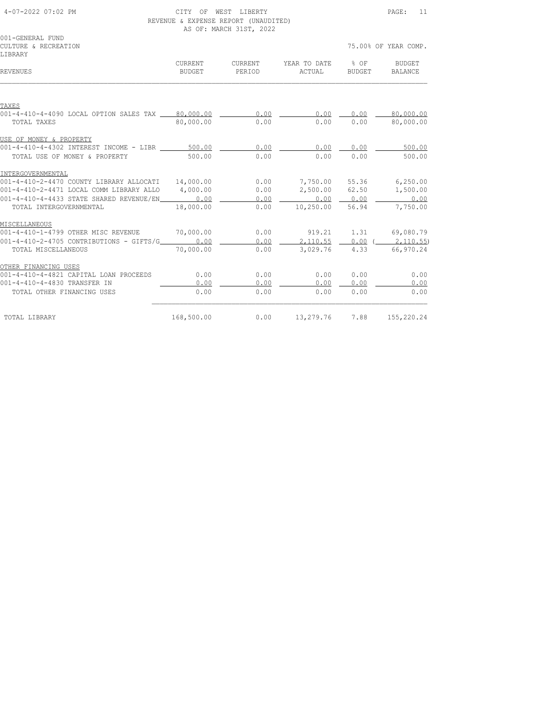| 4-07-2022 07:02 PM |  |  |  |  |
|--------------------|--|--|--|--|
|--------------------|--|--|--|--|

#### CITY OF WEST LIBERTY **EXECUTE:** 11 REVENUE & EXPENSE REPORT (UNAUDITED)

|                                                       |                          | AS OF: MARCH 31ST, 2022 |                        |                  |                                 |
|-------------------------------------------------------|--------------------------|-------------------------|------------------------|------------------|---------------------------------|
| 001-GENERAL FUND                                      |                          |                         |                        |                  |                                 |
| CULTURE & RECREATION                                  |                          |                         |                        |                  | 75.00% OF YEAR COMP.            |
| LIBRARY                                               |                          |                         |                        |                  |                                 |
| REVENUES                                              | CURRENT<br><b>BUDGET</b> | CURRENT<br>PERIOD       | YEAR TO DATE<br>ACTUAL | $8$ OF<br>BUDGET | <b>BUDGET</b><br><b>BALANCE</b> |
|                                                       |                          |                         |                        |                  |                                 |
|                                                       |                          |                         |                        |                  |                                 |
| TAXES                                                 |                          |                         |                        |                  |                                 |
| 001-4-410-4-4090 LOCAL OPTION SALES TAX 80,000.00     |                          | 0.00                    | 0.00                   | 0.00             | 80,000.00                       |
| TOTAL TAXES                                           | 80,000.00                | 0.00                    | 0.00                   | 0.00             | 80,000.00                       |
| USE OF MONEY & PROPERTY                               |                          |                         |                        |                  |                                 |
| 001-4-410-4-4302 INTEREST INCOME - LIBR ______ 500.00 |                          | 0.00                    | 0.00                   | 0.00             | 500.00                          |
| TOTAL USE OF MONEY & PROPERTY                         | 500.00                   | 0.00                    | 0.00                   | 0.00             | 500.00                          |
| INTERGOVERNMENTAL                                     |                          |                         |                        |                  |                                 |
| 001-4-410-2-4470 COUNTY LIBRARY ALLOCATI              | 14,000.00                | 0.00                    |                        |                  | 7,750.00 55.36 6,250.00         |
| 001-4-410-2-4471 LOCAL COMM LIBRARY ALLO              | 4,000.00                 | 0.00                    |                        |                  | 2,500.00 62.50 1,500.00         |
| 001-4-410-4-4433 STATE SHARED REVENUE/EN              | 0.00                     | 0.00                    | 0.00000000             |                  | 0.00                            |
| TOTAL INTERGOVERNMENTAL                               | 18,000.00                | 0.00                    | 10,250.00              | 56.94            | 7,750.00                        |
| MISCELLANEOUS                                         |                          |                         |                        |                  |                                 |
| 001-4-410-1-4799 OTHER MISC REVENUE                   | 70,000.00                | 0.00                    | 919.21                 | 1.31             | 69,080.79                       |
| 0.001-4-410-2-4705 CONTRIBUTIONS - GIFTS/G 0.00       |                          | 0.00                    | 2,110.55               | $0.00$ (         | 2,110.55)                       |
| TOTAL MISCELLANEOUS                                   | 70,000.00                | 0.00                    | 3,029.76               | 4.33             | 66,970.24                       |
| OTHER FINANCING USES                                  |                          |                         |                        |                  |                                 |
| 001-4-410-4-4821 CAPITAL LOAN PROCEEDS                | 0.00                     | 0.00                    | 0.00                   | 0.00             | 0.00                            |
| 001-4-410-4-4830 TRANSFER IN                          | 0.00                     | 0.00                    | 0.00                   | 0.00             | 0.00                            |
| TOTAL OTHER FINANCING USES                            | 0.00                     | 0.00                    | 0.00                   | 0.00             | 0.00                            |
| TOTAL LIBRARY                                         | 168,500.00               | 0.00                    | 13,279.76              | 7.88             | 155,220.24                      |
|                                                       |                          |                         |                        |                  |                                 |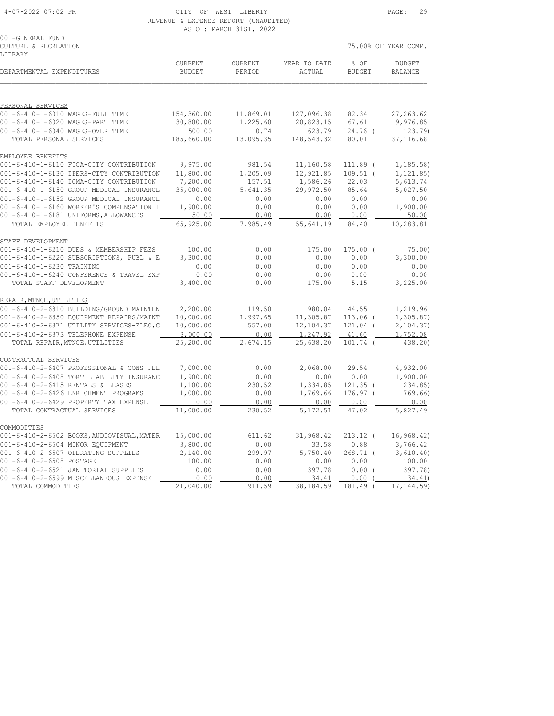COMMODITIES

| 4-07-2022 07:02 PM                        |                                      | CITY OF WEST LIBERTY    |              |               | PAGE:<br>29          |
|-------------------------------------------|--------------------------------------|-------------------------|--------------|---------------|----------------------|
|                                           | REVENUE & EXPENSE REPORT (UNAUDITED) |                         |              |               |                      |
|                                           |                                      | AS OF: MARCH 31ST, 2022 |              |               |                      |
| 001-GENERAL FUND                          |                                      |                         |              |               |                      |
| CULTURE & RECREATION                      |                                      |                         |              |               | 75.00% OF YEAR COMP. |
| LIBRARY                                   |                                      |                         |              |               |                      |
|                                           | CURRENT                              | CURRENT                 | YEAR TO DATE | % OF          | <b>BUDGET</b>        |
| DEPARTMENTAL EXPENDITURES                 | <b>BUDGET</b>                        | PERIOD                  | ACTUAL       | <b>BUDGET</b> | <b>BALANCE</b>       |
|                                           |                                      |                         |              |               |                      |
|                                           |                                      |                         |              |               |                      |
| PERSONAL SERVICES                         |                                      |                         |              |               |                      |
| 001-6-410-1-6010 WAGES-FULL TIME          | 154,360.00                           | 11,869.01               | 127,096.38   | 82.34         | 27, 263.62           |
| 001-6-410-1-6020 WAGES-PART TIME          | 30,800.00                            | 1,225.60                | 20,823.15    | 67.61         | 9,976.85             |
| 001-6-410-1-6040 WAGES-OVER TIME          | 500.00                               | 0.74                    | 623.79       | $124.76$ (    | 123.79               |
| TOTAL PERSONAL SERVICES                   | 185,660.00                           | 13,095.35               | 148,543.32   | 80.01         | 37, 116.68           |
| EMPLOYEE BENEFITS                         |                                      |                         |              |               |                      |
| 001-6-410-1-6110 FICA-CITY CONTRIBUTION   | 9,975.00                             | 981.54                  | 11,160.58    | 111.89 (      | 1, 185.58)           |
| 001-6-410-1-6130 IPERS-CITY CONTRIBUTION  | 11,800.00                            | 1,205.09                | 12,921.85    | $109.51$ (    | 1, 121.85)           |
| 001-6-410-1-6140 ICMA-CITY CONTRIBUTION   | 7,200.00                             | 157.51                  | 1,586.26     | 22.03         | 5,613.74             |
| 001-6-410-1-6150 GROUP MEDICAL INSURANCE  | 35,000.00                            | 5,641.35                | 29,972.50    | 85.64         | 5,027.50             |
| 001-6-410-1-6152 GROUP MEDICAL INSURANCE  | 0.00                                 | 0.00                    | 0.00         | 0.00          | 0.00                 |
| 001-6-410-1-6160 WORKER'S COMPENSATION I  | 1,900.00                             | 0.00                    | 0.00         | 0.00          | 1,900.00             |
| 001-6-410-1-6181 UNIFORMS, ALLOWANCES     | 50.00                                | 0.00                    | 0.00         | 0.00          | 50.00                |
| TOTAL EMPLOYEE BENEFITS                   | 65,925.00                            | 7,985.49                | 55,641.19    | 84.40         | 10,283.81            |
| STAFF DEVELOPMENT                         |                                      |                         |              |               |                      |
| 001-6-410-1-6210 DUES & MEMBERSHIP FEES   | 100.00                               | 0.00                    | 175.00       | $175.00$ (    | 75.00                |
| 001-6-410-1-6220 SUBSCRIPTIONS, PUBL & E  | 3,300.00                             | 0.00                    | 0.00         | 0.00          | 3,300.00             |
| 001-6-410-1-6230 TRAINING                 | 0.00                                 | 0.00                    | 0.00         | 0.00          | 0.00                 |
| 001-6-410-1-6240 CONFERENCE & TRAVEL EXP  | 0.00                                 | 0.00                    | 0.00         | 0.00          | 0.00                 |
| TOTAL STAFF DEVELOPMENT                   | 3,400.00                             | 0.00                    | 175.00       | 5.15          | 3,225.00             |
| REPAIR, MTNCE, UTILITIES                  |                                      |                         |              |               |                      |
| 001-6-410-2-6310 BUILDING/GROUND MAINTEN  | 2,200.00                             | 119.50                  | 980.04       | 44.55         | 1,219.96             |
| 001-6-410-2-6350 EQUIPMENT REPAIRS/MAINT  | 10,000.00                            | 1,997.65                | 11,305.87    | 113.06 (      | 1, 305.87)           |
| 001-6-410-2-6371 UTILITY SERVICES-ELEC, G | 10,000.00                            | 557.00                  | 12,104.37    | 121.04 (      | 2, 104.37)           |
| 001-6-410-2-6373 TELEPHONE EXPENSE        | 3,000.00                             | 0.00                    | 1,247.92     | 41.60         | 1,752.08             |
| TOTAL REPAIR, MTNCE, UTILITIES            | 25,200.00                            | 2,674.15                | 25,638.20    | $101.74$ (    | 438.20)              |
|                                           |                                      |                         |              |               |                      |
| CONTRACTUAL SERVICES                      |                                      |                         |              |               |                      |
| 001-6-410-2-6407 PROFESSIONAL & CONS FEE  | 7,000.00                             | 0.00                    | 2,068.00     | 29.54         | 4,932.00             |
| 001-6-410-2-6408 TORT LIABILITY INSURANC  | 1,900.00                             | 0.00                    | 0.00         | 0.00          | 1,900.00             |
| 001-6-410-2-6415 RENTALS & LEASES         | 1,100.00                             | 230.52                  | 1,334.85     | $121.35$ (    | 234.85)              |
| 001-6-410-2-6426 ENRICHMENT PROGRAMS      | 1,000.00                             | 0.00                    | 1,769.66     | $176.97$ (    | 769.66)              |
| 001-6-410-2-6429 PROPERTY TAX EXPENSE     | 0.00                                 | 0.00                    | 0.00         | 0.00          | 0.00                 |
| TOTAL CONTRACTUAL SERVICES                | 11,000.00                            | 230.52                  | 5, 172.51    | 47.02         | 5,827.49             |

001-6-410-2-6502 BOOKS,AUDIOVISUAL,MATER 15,000.00 611.62 31,968.42 213.12 ( 16,968.42) 001-6-410-2-6504 MINOR EQUIPMENT 3,800.00 0.00 33.58 0.88 3,766.42 001-6-410-2-6507 OPERATING SUPPLIES 2,140.00 299.97 5,750.40 268.71 ( 3,610.40) 001-6-410-2-6508 POSTAGE 100.00 0.00 0.00 0.00 100.00 001-6-410-2-6521 JANITORIAL SUPPLIES 0.00 0.00 397.78 0.00 ( 397.78) 001-6-410-2-6599 MISCELLANEOUS EXPENSE 2000 2000 2000 34.41 20.00 (200 34.41) TOTAL COMMODITIES 21,040.00 911.59 38,184.59 181.49 ( 17,144.59)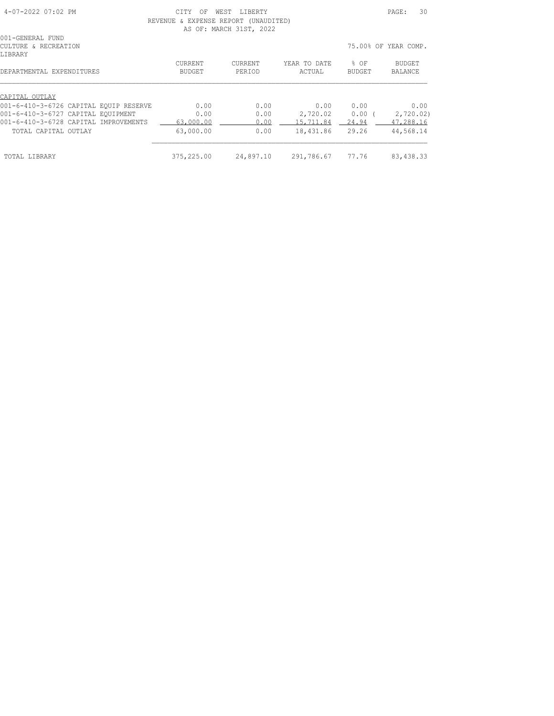| 4-07-2022 07:02 PM | 7 T m 3 Z<br><b>MEST</b><br>TRERTY.<br>へに<br>-----<br>- - - -                             | PAGE | $\sim$ $\sim$ |
|--------------------|-------------------------------------------------------------------------------------------|------|---------------|
|                    | ----------<br>יחס∩סים ס<br>ר תיחי<br><b>DVDDMOD</b><br><b>TIMATIE</b><br>.<br>◡<br>$N+1+$ |      |               |

 REVENUE & EXPENSE REPORT (UNAUDITED) AS OF: MARCH 31ST, 2022

| 001-GENERAL FUND<br>CULTURE & RECREATION<br><b>LIBRARY</b> |                   |                          |                        |                       | 75.00% OF YEAR COMP. |
|------------------------------------------------------------|-------------------|--------------------------|------------------------|-----------------------|----------------------|
| DEPARTMENTAL EXPENDITURES                                  | CURRENT<br>BUDGET | <b>CURRENT</b><br>PERIOD | YEAR TO DATE<br>ACTUAL | % OF<br><b>BUDGET</b> | BUDGET<br>BALANCE    |
| CAPITAL OUTLAY                                             |                   |                          |                        |                       |                      |
| 001-6-410-3-6726 CAPITAL EOUIP RESERVE                     | 0.00              | 0.00                     | 0.00                   | 0.00                  | 0.00                 |
| 001-6-410-3-6727 CAPITAL EOUIPMENT                         | 0.00              | 0.00                     | 2,720.02               | 0.00                  | 2,720.02)            |
| 001-6-410-3-6728 CAPITAL IMPROVEMENTS                      | 63,000.00         | 0.00                     | 15,711.84              | 24.94                 | 47,288.16            |
| TOTAL CAPITAL OUTLAY                                       | 63,000.00         | 0.00                     | 18,431.86              | 29.26                 | 44,568.14            |
| TOTAL LIBRARY                                              | 375,225.00        | 24,897.10                | 291,786.67             | 77.76                 | 83, 438.33           |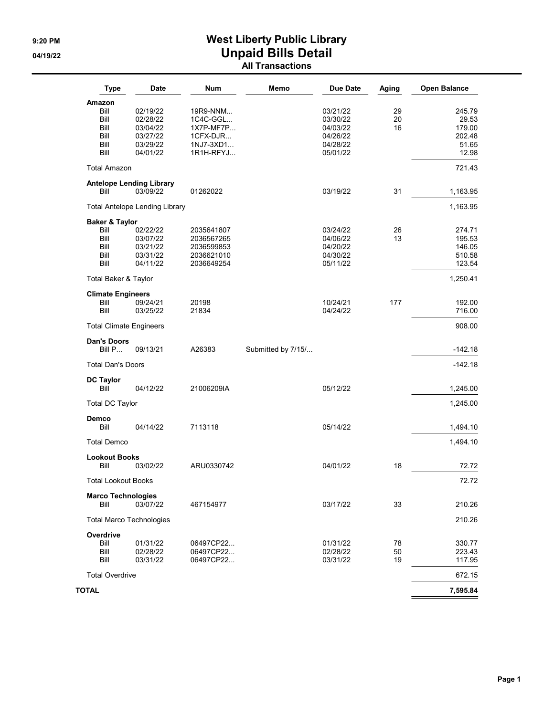### 9:20 PM SALLINGTON MEST Liberty Public Library 04/19/22 **Unpaid Bills Detail** All Transactions

| <b>Type</b>                     | <b>Date</b>                           | Num                      | Memo               | <b>Due Date</b>      | Aging | <b>Open Balance</b> |
|---------------------------------|---------------------------------------|--------------------------|--------------------|----------------------|-------|---------------------|
| Amazon                          |                                       |                          |                    |                      |       |                     |
| Bill                            | 02/19/22                              | 19R9-NNM                 |                    | 03/21/22             | 29    | 245.79              |
| Bill                            | 02/28/22                              | 1C4C-GGL                 |                    | 03/30/22             | 20    | 29.53               |
| Bill                            | 03/04/22                              | 1X7P-MF7P                |                    | 04/03/22             | 16    | 179.00              |
| Bill                            | 03/27/22                              | 1CFX-DJR                 |                    | 04/26/22             |       | 202.48              |
| Bill                            | 03/29/22                              | 1NJ7-3XD1                |                    | 04/28/22             |       | 51.65               |
| Bill                            | 04/01/22                              | 1R1H-RFYJ                |                    | 05/01/22             |       | 12.98               |
| <b>Total Amazon</b>             |                                       |                          |                    |                      |       | 721.43              |
| <b>Antelope Lending Library</b> |                                       |                          |                    |                      |       |                     |
| Bill                            | 03/09/22                              | 01262022                 |                    | 03/19/22             | 31    | 1,163.95            |
|                                 | <b>Total Antelope Lending Library</b> |                          |                    |                      |       | 1,163.95            |
| <b>Baker &amp; Taylor</b>       |                                       |                          |                    |                      |       |                     |
| Bill                            | 02/22/22                              | 2035641807               |                    | 03/24/22             | 26    | 274.71              |
| Bill<br>Bill                    | 03/07/22                              | 2036567265               |                    | 04/06/22             | 13    | 195.53              |
|                                 | 03/21/22<br>03/31/22                  | 2036599853               |                    | 04/20/22<br>04/30/22 |       | 146.05              |
| Bill<br>Bill                    | 04/11/22                              | 2036621010<br>2036649254 |                    | 05/11/22             |       | 510.58<br>123.54    |
| Total Baker & Taylor            |                                       |                          |                    |                      |       | 1,250.41            |
| <b>Climate Engineers</b>        |                                       |                          |                    |                      |       |                     |
| Bill                            | 09/24/21                              | 20198                    |                    | 10/24/21             | 177   | 192.00              |
| Bill                            | 03/25/22                              | 21834                    |                    | 04/24/22             |       | 716.00              |
| <b>Total Climate Engineers</b>  |                                       |                          |                    |                      |       | 908.00              |
| <b>Dan's Doors</b><br>Bill P    | 09/13/21                              | A26383                   |                    |                      |       | $-142.18$           |
|                                 |                                       |                          | Submitted by 7/15/ |                      |       |                     |
| <b>Total Dan's Doors</b>        |                                       |                          |                    |                      |       | $-142.18$           |
| <b>DC Taylor</b><br>Bill        | 04/12/22                              | 21006209IA               |                    | 05/12/22             |       | 1,245.00            |
|                                 |                                       |                          |                    |                      |       |                     |
| <b>Total DC Taylor</b>          |                                       |                          |                    |                      |       | 1,245.00            |
| Demco<br>Bill                   | 04/14/22                              | 7113118                  |                    | 05/14/22             |       | 1,494.10            |
|                                 |                                       |                          |                    |                      |       |                     |
| <b>Total Demco</b>              |                                       |                          |                    |                      |       | 1,494.10            |
| <b>Lookout Books</b><br>Bill    | 03/02/22                              | ARU0330742               |                    | 04/01/22             | 18    | 72.72               |
| <b>Total Lookout Books</b>      |                                       |                          |                    |                      |       | 72.72               |
| <b>Marco Technologies</b>       |                                       |                          |                    |                      |       |                     |
| Bill                            | 03/07/22                              | 467154977                |                    | 03/17/22             | 33    | 210.26              |
| <b>Total Marco Technologies</b> |                                       |                          |                    |                      |       | 210.26              |
| Overdrive                       |                                       |                          |                    |                      |       |                     |
| Bill                            | 01/31/22                              | 06497CP22                |                    | 01/31/22             | 78    | 330.77              |
| Bill                            | 02/28/22                              | 06497CP22                |                    | 02/28/22             | 50    | 223.43              |
| Bill                            | 03/31/22                              | 06497CP22                |                    | 03/31/22             | 19    | 117.95              |
| <b>Total Overdrive</b>          |                                       |                          |                    |                      |       | 672.15              |
| TOTAL                           |                                       |                          |                    |                      |       | 7,595.84            |
|                                 |                                       |                          |                    |                      |       |                     |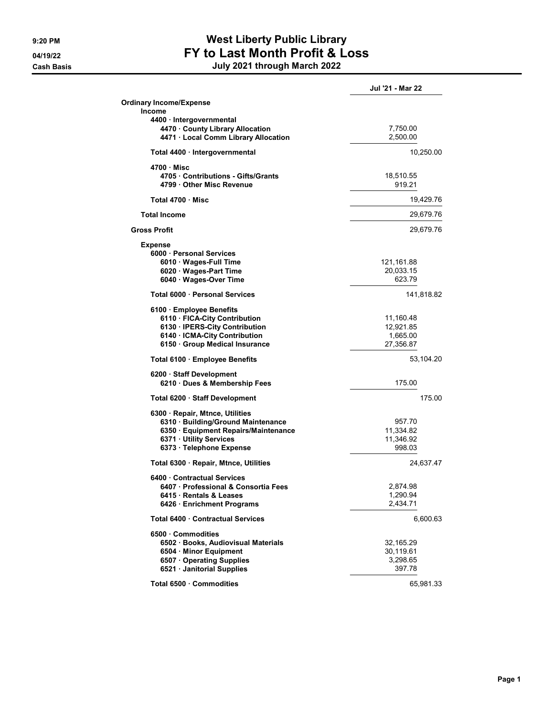### 9:20 PM SALLINGTON MEST Liberty Public Library 04/19/22 FY to Last Month Profit & Loss Cash Basis July 2021 through March 2022

|                                                           | Jul '21 - Mar 22 |
|-----------------------------------------------------------|------------------|
| <b>Ordinary Income/Expense</b>                            |                  |
| <b>Income</b>                                             |                  |
| 4400 · Intergovernmental                                  |                  |
| 4470 County Library Allocation                            | 7,750.00         |
| 4471 · Local Comm Library Allocation                      | 2,500.00         |
| Total 4400 · Intergovernmental                            | 10,250.00        |
| 4700 Misc                                                 |                  |
| 4705 Contributions - Gifts/Grants                         | 18,510.55        |
| 4799 Other Misc Revenue                                   | 919.21           |
| Total 4700 · Misc                                         | 19,429.76        |
| <b>Total Income</b>                                       | 29,679.76        |
| <b>Gross Profit</b>                                       | 29,679.76        |
|                                                           |                  |
| <b>Expense</b><br>6000 · Personal Services                |                  |
| 6010 Wages-Full Time                                      | 121,161.88       |
| 6020 Wages-Part Time                                      | 20,033.15        |
| 6040 Wages-Over Time                                      | 623.79           |
| Total 6000 · Personal Services                            | 141,818.82       |
|                                                           |                  |
| 6100 · Employee Benefits<br>6110 · FICA-City Contribution | 11,160.48        |
| 6130 · IPERS-City Contribution                            | 12.921.85        |
| 6140 · ICMA-City Contribution                             | 1,665.00         |
| 6150 · Group Medical Insurance                            | 27,356.87        |
|                                                           |                  |
| Total 6100 · Employee Benefits                            | 53,104.20        |
| 6200 · Staff Development                                  |                  |
| 6210 · Dues & Membership Fees                             | 175.00           |
| Total 6200 · Staff Development                            | 175.00           |
| 6300 · Repair, Mtnce, Utilities                           |                  |
| 6310 · Building/Ground Maintenance                        | 957.70           |
| 6350 · Equipment Repairs/Maintenance                      | 11,334.82        |
| 6371 · Utility Services                                   | 11,346.92        |
| 6373 · Telephone Expense                                  | 998.03           |
| Total 6300 · Repair, Mtnce, Utilities                     | 24,637.47        |
| 6400 Contractual Services                                 |                  |
| 6407 · Professional & Consortia Fees                      | 2,874.98         |
| 6415 Rentals & Leases                                     | 1,290.94         |
| 6426 Enrichment Programs                                  | 2,434.71         |
| Total 6400 Contractual Services                           | 6,600.63         |
| 6500 Commodities                                          |                  |
| 6502 · Books, Audiovisual Materials                       | 32,165.29        |
| 6504 · Minor Equipment                                    | 30,119.61        |
| 6507 Operating Supplies                                   | 3,298.65         |
| 6521 · Janitorial Supplies                                | 397.78           |
|                                                           |                  |
| Total 6500 · Commodities                                  | 65,981.33        |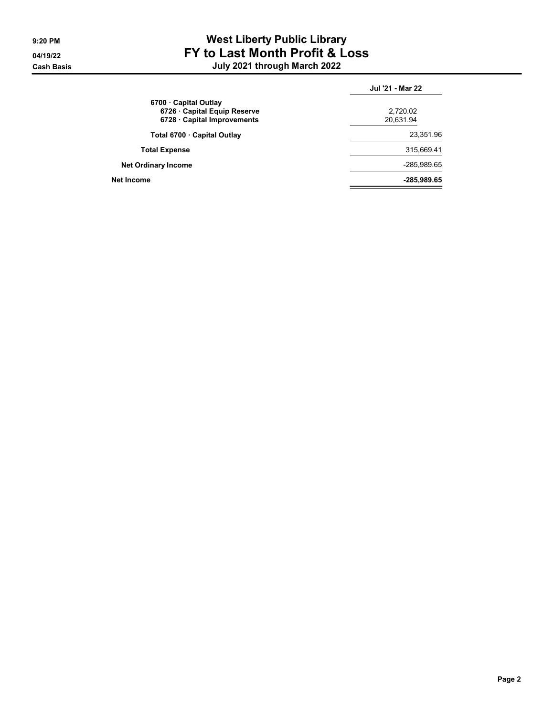### 9:20 PM SALLINGTON MEST Liberty Public Library 04/19/22 FY to Last Month Profit & Loss Cash Basis July 2021 through March 2022

|                                                   | Jul '21 - Mar 22 |
|---------------------------------------------------|------------------|
| 6700 Capital Outlay<br>6726 Capital Equip Reserve | 2,720.02         |
| 6728 Capital Improvements                         | 20,631.94        |
| Total 6700 · Capital Outlay                       | 23,351.96        |
| <b>Total Expense</b>                              | 315,669.41       |
| <b>Net Ordinary Income</b>                        | -285,989.65      |
| Net Income                                        | -285,989.65      |
|                                                   |                  |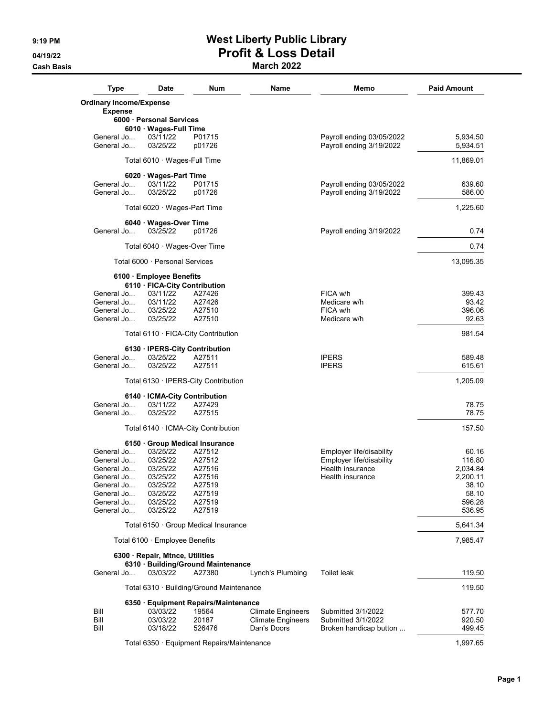## 9:19 PM **West Liberty Public Library** 04/19/22 **Profit & Loss Detail**

**Cash Basis** Cash Basis **March 2022** 

| <b>Type</b>                    | <b>Date</b>                                | Num              | Name                     | Memo                                                  | <b>Paid Amount</b> |
|--------------------------------|--------------------------------------------|------------------|--------------------------|-------------------------------------------------------|--------------------|
| <b>Ordinary Income/Expense</b> |                                            |                  |                          |                                                       |                    |
| <b>Expense</b>                 |                                            |                  |                          |                                                       |                    |
|                                | 6000 Personal Services                     |                  |                          |                                                       |                    |
|                                | 6010 Wages-Full Time                       |                  |                          |                                                       |                    |
| General Jo                     | 03/11/22                                   | P01715           |                          | Payroll ending 03/05/2022                             | 5,934.50           |
| General Jo                     | 03/25/22                                   | p01726           |                          | Payroll ending 3/19/2022                              | 5,934.51           |
|                                | Total 6010 · Wages-Full Time               |                  |                          |                                                       | 11,869.01          |
| General Jo                     | 6020 · Wages-Part Time                     |                  |                          |                                                       |                    |
| General Jo                     | 03/11/22<br>03/25/22                       | P01715<br>p01726 |                          | Payroll ending 03/05/2022<br>Payroll ending 3/19/2022 | 639.60<br>586.00   |
|                                |                                            |                  |                          |                                                       |                    |
|                                | Total 6020 · Wages-Part Time               |                  |                          |                                                       | 1,225.60           |
| General Jo                     | 6040 · Wages-Over Time<br>03/25/22         | p01726           |                          | Payroll ending 3/19/2022                              | 0.74               |
|                                |                                            |                  |                          |                                                       |                    |
|                                | Total 6040 $\cdot$ Wages-Over Time         |                  |                          |                                                       | 0.74               |
|                                | Total 6000 · Personal Services             |                  |                          |                                                       | 13,095.35          |
|                                | 6100 · Employee Benefits                   |                  |                          |                                                       |                    |
|                                | 6110 · FICA-City Contribution              |                  |                          |                                                       |                    |
| General Jo                     | 03/11/22                                   | A27426           |                          | FICA w/h                                              | 399.43             |
| General Jo                     | 03/11/22                                   | A27426           |                          | Medicare w/h                                          | 93.42              |
| General Jo                     | 03/25/22                                   | A27510           |                          | FICA w/h                                              | 396.06             |
| General Jo                     | 03/25/22                                   | A27510           |                          | Medicare w/h                                          | 92.63              |
|                                | Total 6110 · FICA-City Contribution        |                  |                          |                                                       | 981.54             |
| General Jo                     | 6130 · IPERS-City Contribution             |                  |                          |                                                       |                    |
|                                | 03/25/22                                   | A27511           |                          | <b>IPERS</b>                                          | 589.48             |
| General Jo                     | 03/25/22                                   | A27511           |                          | <b>IPERS</b>                                          | 615.61             |
|                                | Total 6130 · IPERS-City Contribution       |                  |                          |                                                       | 1,205.09           |
|                                | 6140 · ICMA-City Contribution              |                  |                          |                                                       |                    |
| General Jo                     | 03/11/22                                   | A27429           |                          |                                                       | 78.75              |
| General Jo                     | 03/25/22                                   | A27515           |                          |                                                       | 78.75              |
|                                | Total 6140 · ICMA-City Contribution        |                  |                          |                                                       | 157.50             |
|                                | 6150 Group Medical Insurance<br>03/25/22   |                  |                          |                                                       |                    |
| General Jo                     |                                            | A27512           |                          | Employer life/disability<br>Employer life/disability  | 60.16              |
| General Jo                     | 03/25/22                                   | A27512           |                          |                                                       | 116.80             |
| General Jo                     | 03/25/22                                   | A27516           |                          | Health insurance                                      | 2,034.84           |
| General Jo                     | 03/25/22                                   | A27516           |                          | Health insurance                                      | 2,200.11           |
| General Jo                     | 03/25/22                                   | A27519           |                          |                                                       | 38.10              |
| General Jo                     | 03/25/22                                   | A27519           |                          |                                                       | 58.10              |
| General Jo<br>General Jo       | 03/25/22<br>03/25/22                       | A27519<br>A27519 |                          |                                                       | 596.28<br>536.95   |
|                                | Total 6150 · Group Medical Insurance       |                  |                          |                                                       | 5,641.34           |
|                                | Total 6100 · Employee Benefits             |                  |                          |                                                       | 7,985.47           |
|                                | 6300 · Repair, Mtnce, Utilities            |                  |                          |                                                       |                    |
|                                | 6310 · Building/Ground Maintenance         |                  |                          |                                                       |                    |
| General Jo                     | 03/03/22                                   | A27380           | Lynch's Plumbing         | <b>Toilet leak</b>                                    | 119.50             |
|                                | Total 6310 · Building/Ground Maintenance   |                  |                          |                                                       | 119.50             |
|                                | 6350 · Equipment Repairs/Maintenance       |                  |                          |                                                       |                    |
| Bill                           | 03/03/22                                   | 19564            | <b>Climate Engineers</b> | Submitted 3/1/2022                                    | 577.70             |
| Bill                           | 03/03/22                                   | 20187            | <b>Climate Engineers</b> | Submitted 3/1/2022                                    | 920.50             |
| Bill                           | 03/18/22                                   | 526476           | Dan's Doors              | Broken handicap button                                | 499.45             |
|                                | Total 6350 · Equipment Repairs/Maintenance |                  |                          |                                                       | 1,997.65           |
|                                |                                            |                  |                          |                                                       |                    |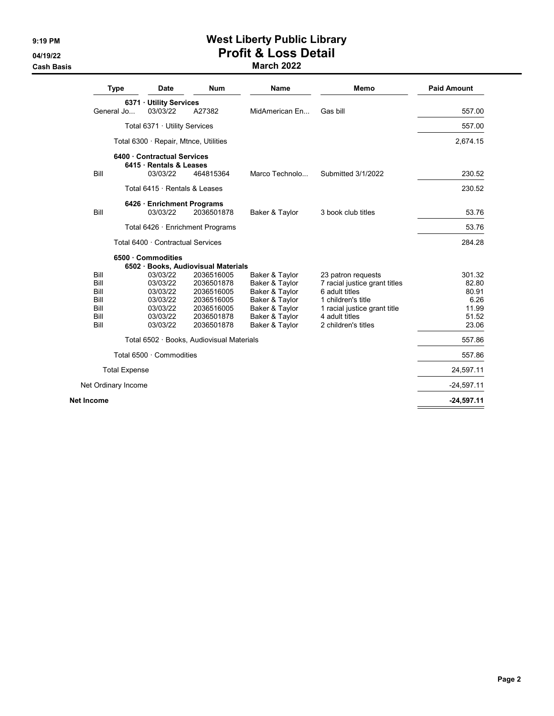### 9:19 PM **West Liberty Public Library** 04/19/22 **Profit & Loss Detail** Cash Basis March 2022

| <b>Num</b><br>Memo<br><b>Type</b><br>Date<br><b>Name</b>                                                      | <b>Paid Amount</b> |
|---------------------------------------------------------------------------------------------------------------|--------------------|
| 6371 · Utility Services                                                                                       |                    |
| General Jo<br>03/03/22<br>A27382<br>MidAmerican En<br>Gas bill                                                | 557.00             |
| Total 6371 · Utility Services                                                                                 | 557.00             |
| Total 6300 · Repair, Mtnce, Utilities                                                                         | 2,674.15           |
| 6400 Contractual Services                                                                                     |                    |
| 6415 · Rentals & Leases                                                                                       |                    |
| Bill<br>03/03/22<br>464815364<br>Marco Technolo<br>Submitted 3/1/2022                                         | 230.52             |
| Total 6415 · Rentals & Leases                                                                                 | 230.52             |
| 6426 · Enrichment Programs                                                                                    |                    |
| Bill<br>03/03/22<br>2036501878<br>Baker & Taylor<br>3 book club titles                                        | 53.76              |
| Total 6426 · Enrichment Programs                                                                              | 53.76              |
| Total 6400 · Contractual Services                                                                             | 284.28             |
| 6500 Commodities                                                                                              |                    |
| 6502 · Books, Audiovisual Materials<br>03/03/22<br>Bill<br>2036516005<br>Baker & Taylor<br>23 patron requests | 301.32             |
| Bill<br>03/03/22<br>2036501878<br>Baker & Taylor<br>7 racial justice grant titles                             | 82.80              |
| Bill<br>03/03/22<br>Baker & Taylor<br>6 adult titles<br>2036516005                                            | 80.91              |
| Bill<br>03/03/22<br>2036516005<br>Baker & Taylor<br>1 children's title                                        | 6.26               |
| Bill<br>03/03/22<br>2036516005<br>Baker & Taylor<br>1 racial justice grant title                              | 11.99              |
| Bill<br>03/03/22<br>2036501878<br>Baker & Taylor<br>4 adult titles                                            | 51.52              |
| Bill<br>03/03/22<br>2036501878<br>Baker & Taylor<br>2 children's titles                                       | 23.06              |
| Total 6502 · Books, Audiovisual Materials                                                                     | 557.86             |
| Total 6500 · Commodities                                                                                      | 557.86             |
| <b>Total Expense</b>                                                                                          | 24,597.11          |
|                                                                                                               | $-24,597.11$       |
| Net Ordinary Income                                                                                           |                    |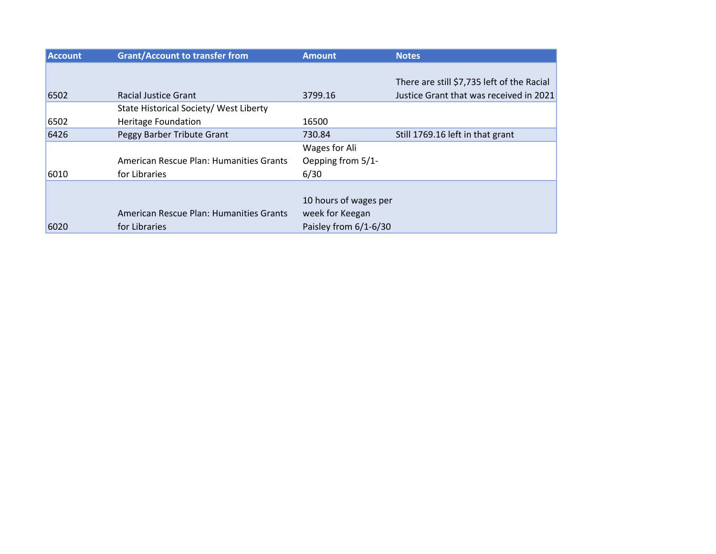| <b>Account</b> | <b>Grant/Account to transfer from</b>   | <b>Amount</b>         | <b>Notes</b>                               |
|----------------|-----------------------------------------|-----------------------|--------------------------------------------|
|                |                                         |                       |                                            |
|                |                                         |                       | There are still \$7,735 left of the Racial |
| 6502           | <b>Racial Justice Grant</b>             | 3799.16               | Justice Grant that was received in 2021    |
|                | State Historical Society/ West Liberty  |                       |                                            |
| 6502           | <b>Heritage Foundation</b>              | 16500                 |                                            |
| 6426           | Peggy Barber Tribute Grant              | 730.84                | Still 1769.16 left in that grant           |
|                |                                         | Wages for Ali         |                                            |
|                | American Rescue Plan: Humanities Grants | Oepping from 5/1-     |                                            |
| 6010           | for Libraries                           | 6/30                  |                                            |
|                |                                         |                       |                                            |
|                |                                         | 10 hours of wages per |                                            |
|                | American Rescue Plan: Humanities Grants | week for Keegan       |                                            |
| 6020           | for Libraries                           | Paisley from 6/1-6/30 |                                            |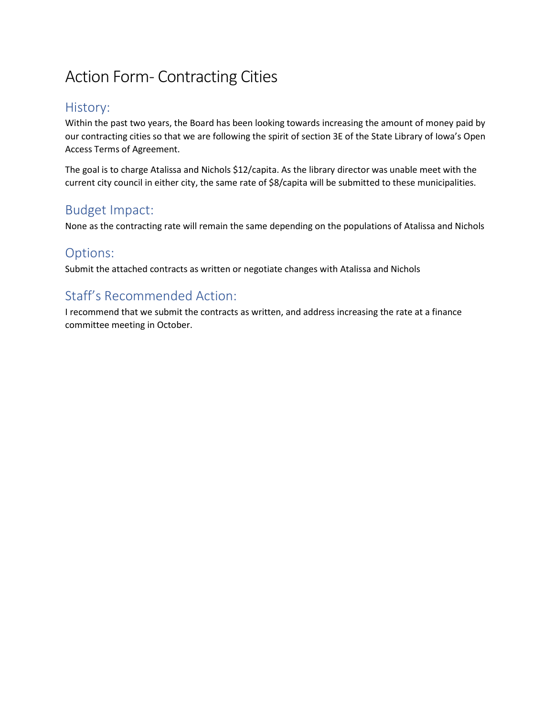## Action Form- Contracting Cities

## History:

Within the past two years, the Board has been looking towards increasing the amount of money paid by our contracting cities so that we are following the spirit of section 3E of the State Library of Iowa's Open Access Terms of Agreement.

The goal is to charge Atalissa and Nichols \$12/capita. As the library director was unable meet with the current city council in either city, the same rate of \$8/capita will be submitted to these municipalities.

## Budget Impact:

None as the contracting rate will remain the same depending on the populations of Atalissa and Nichols

### Options:

Submit the attached contracts as written or negotiate changes with Atalissa and Nichols

## Staff's Recommended Action:

I recommend that we submit the contracts as written, and address increasing the rate at a finance committee meeting in October.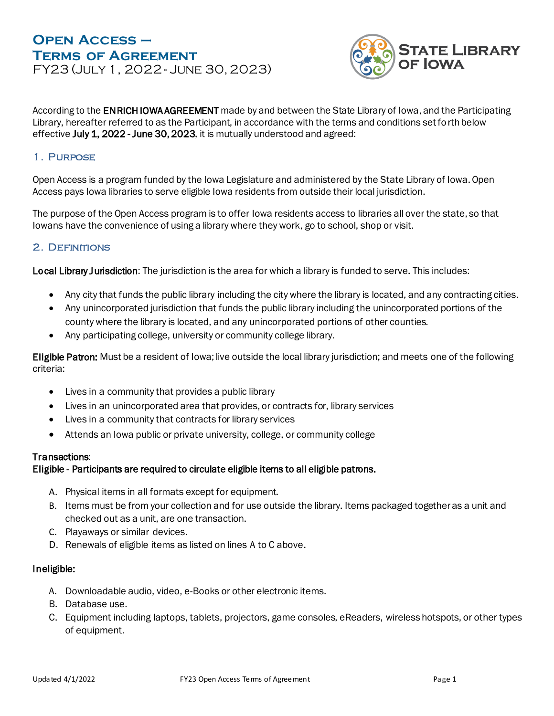### **Open Access – Terms of Agreement** FY23 (July 1, 2022 - June 30, 2023)



According to the **ENRICH IOWA AGREEMENT** made by and between the State Library of Iowa, and the Participating Library, hereafter referred to as the Participant, in accordance with the terms and conditions set forth below effective July 1, 2022 - June 30, 2023, it is mutually understood and agreed:

#### 1. Purpose

Open Access is a program funded by the Iowa Legislature and administered by the State Library of Iowa. Open Access pays Iowa libraries to serve eligible Iowa residents from outside their local jurisdiction.

The purpose of the Open Access program is to offer Iowa residents access to libraries all over the state, so that Iowans have the convenience of using a library where they work, go to school, shop or visit.

#### 2. DEFINITIONS

Local Library Jurisdiction: The jurisdiction is the area for which a library is funded to serve. This includes:

- Any city that funds the public library including the city where the library is located, and any contracting cities.
- Any unincorporated jurisdiction that funds the public library including the unincorporated portions of the county where the library is located, and any unincorporated portions of other counties.
- Any participating college, university or community college library.

Eligible Patron: Must be a resident of Iowa; live outside the local library jurisdiction; and meets one of the following criteria:

- Lives in a community that provides a public library
- Lives in an unincorporated area that provides, or contracts for, library services
- Lives in a community that contracts for library services
- Attends an Iowa public or private university, college, or community college

#### Transactions:

#### Eligible - Participants are required to circulate eligible items to all eligible patrons.

- A. Physical items in all formats except for equipment.
- B. Items must be from your collection and for use outside the library. Items packaged together as a unit and checked out as a unit, are one transaction.
- C. Playaways or similar devices.
- D. Renewals of eligible items as listed on lines A to C above.

#### Ineligible:

- A. Downloadable audio, video, e-Books or other electronic items.
- B. Database use.
- C. Equipment including laptops, tablets, projectors, game consoles, eReaders, wireless hotspots, or other types of equipment.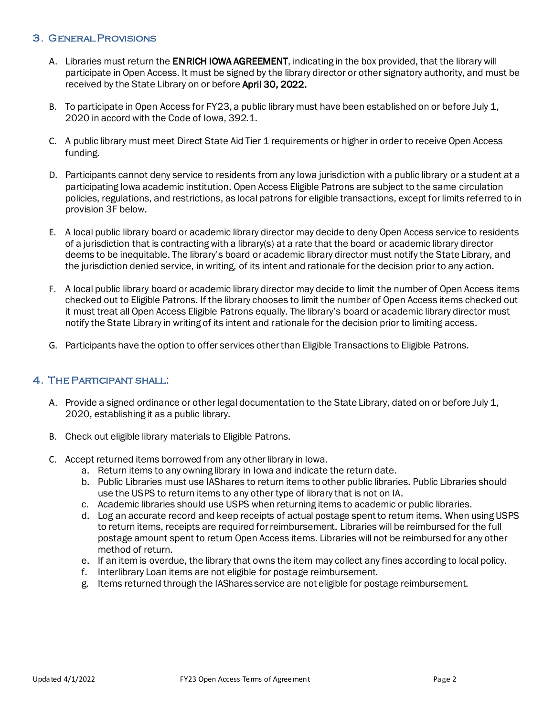#### 3. General Provisions

- A. Libraries must return the ENRICH IOWA AGREEMENT, indicating in the box provided, that the library will participate in Open Access. It must be signed by the library director or other signatory authority, and must be received by the State Library on or before April 30, 2022.
- B. To participate in Open Access for FY23, a public library must have been established on or before July 1, 2020 in accord with the Code of Iowa, 392.1.
- C. A public library must meet Direct State Aid Tier 1 requirements or higher in order to receive Open Access funding.
- D. Participants cannot deny service to residents from any Iowa jurisdiction with a public library or a student at a participating Iowa academic institution. Open Access Eligible Patrons are subject to the same circulation policies, regulations, and restrictions, as local patrons for eligible transactions, except for limits referred to in provision 3F below.
- E. A local public library board or academic library director may decide to deny Open Access service to residents of a jurisdiction that is contracting with a library(s) at a rate that the board or academic library director deems to be inequitable. The library's board or academic library director must notify the State Library, and the jurisdiction denied service, in writing, of its intent and rationale for the decision prior to any action.
- F. A local public library board or academic library director may decide to limit the number of Open Access items checked out to Eligible Patrons. If the library chooses to limit the number of Open Access items checked out it must treat all Open Access Eligible Patrons equally. The library's board or academic library director must notify the State Library in writing of its intent and rationale for the decision prior to limiting access.
- G. Participants have the option to offer services other than Eligible Transactions to Eligible Patrons.

#### 4. The Participant shall:

- A. Provide a signed ordinance or other legal documentation to the State Library, dated on or before July 1, 2020, establishing it as a public library.
- B. Check out eligible library materials to Eligible Patrons.
- C. Accept returned items borrowed from any other library in Iowa.
	- a. Return items to any owning library in Iowa and indicate the return date.
	- b. Public Libraries must use IAShares to return items to other public libraries. Public Libraries should use the USPS to return items to any other type of library that is not on IA.
	- c. Academic libraries should use USPS when returning items to academic or public libraries.
	- d. Log an accurate record and keep receipts of actual postage spent to return items. When using USPS to return items, receipts are required for reimbursement. Libraries will be reimbursed for the full postage amount spent to return Open Access items. Libraries will not be reimbursed for any other method of return.
	- e. If an item is overdue, the library that owns the item may collect any fines according to local policy.
	- f. Interlibrary Loan items are not eligible for postage reimbursement.
	- g. Items returned through the IAShares service are not eligible for postage reimbursement.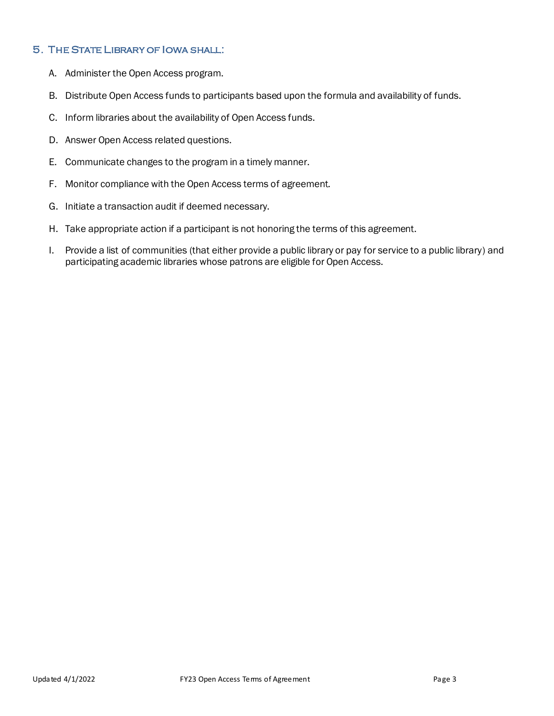#### 5. The State Library of Iowa shall:

- A. Administer the Open Access program.
- B. Distribute Open Access funds to participants based upon the formula and availability of funds.
- C. Inform libraries about the availability of Open Access funds.
- D. Answer Open Access related questions.
- E. Communicate changes to the program in a timely manner.
- F. Monitor compliance with the Open Access terms of agreement.
- G. Initiate a transaction audit if deemed necessary.
- H. Take appropriate action if a participant is not honoring the terms of this agreement.
- I. Provide a list of communities (that either provide a public library or pay for service to a public library) and participating academic libraries whose patrons are eligible for Open Access.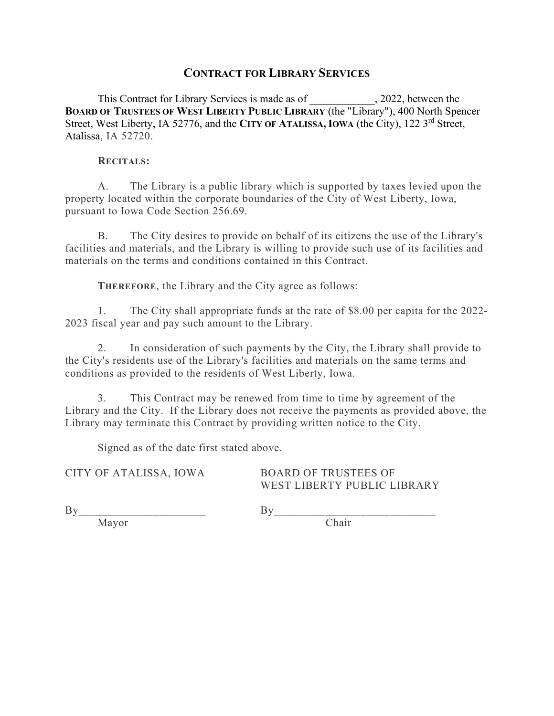#### **CONTRACT FOR LIBRARY SERVICES**

This Contract for Library Services is made as of \_\_\_\_\_\_\_\_\_\_\_\_, 2022, between the **BOARD OF TRUSTEES OF WEST LIBERTY PUBLIC LIBRARY** (the "Library"), 400 North Spencer Street, West Liberty, IA 52776, and the CITY OF ATALISSA, IOWA (the City), 122 3<sup>rd</sup> Street, Atalissa, IA 52720.

#### **RECITALS:**

A. The Library is a public library which is supported by taxes levied upon the property located within the corporate boundaries of the City of West Liberty, Iowa, pursuant to Iowa Code Section 256.69.

B. The City desires to provide on behalf of its citizens the use of the Library's facilities and materials, and the Library is willing to provide such use of its facilities and materials on the terms and conditions contained in this Contract.

**THEREFORE**, the Library and the City agree as follows:

1. The City shall appropriate funds at the rate of \$8.00 per capita for the 2022- 2023 fiscal year and pay such amount to the Library.

2. In consideration of such payments by the City, the Library shall provide to the City's residents use of the Library's facilities and materials on the same terms and conditions as provided to the residents of West Liberty, Iowa.

3. This Contract may be renewed from time to time by agreement of the Library and the City. If the Library does not receive the payments as provided above, the Library may terminate this Contract by providing written notice to the City.

Signed as of the date first stated above.

CITY OF ATALISSA, IOWA BOARD OF TRUSTEES OF

WEST LIBERTY PUBLIC LIBRARY

By\_\_\_\_\_\_\_\_\_\_\_\_\_\_\_\_\_\_\_\_\_\_ By\_\_\_\_\_\_\_\_\_\_\_\_\_\_\_\_\_\_\_\_\_\_\_\_\_\_\_\_

Mayor Chair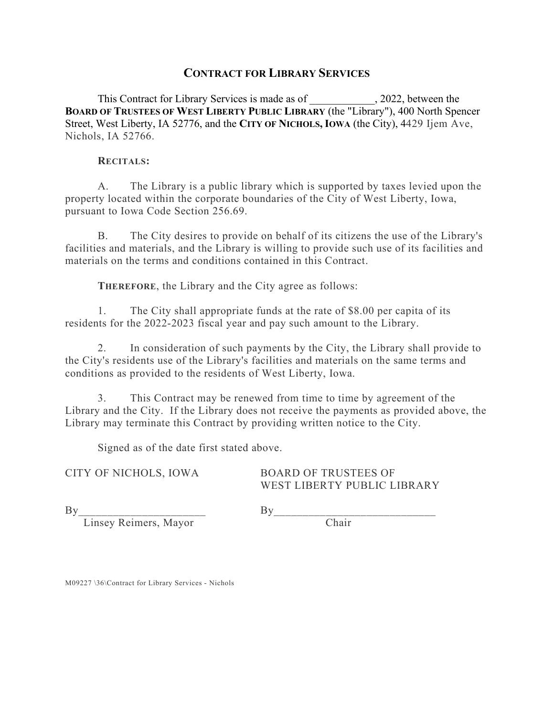#### **CONTRACT FOR LIBRARY SERVICES**

This Contract for Library Services is made as of \_\_\_\_\_\_\_\_\_\_\_\_, 2022, between the **BOARD OF TRUSTEES OF WEST LIBERTY PUBLIC LIBRARY** (the "Library"), 400 North Spencer Street, West Liberty, IA 52776, and the **CITY OF NICHOLS, IOWA** (the City), 4429 Ijem Ave, Nichols, IA 52766.

#### **RECITALS:**

A. The Library is a public library which is supported by taxes levied upon the property located within the corporate boundaries of the City of West Liberty, Iowa, pursuant to Iowa Code Section 256.69.

B. The City desires to provide on behalf of its citizens the use of the Library's facilities and materials, and the Library is willing to provide such use of its facilities and materials on the terms and conditions contained in this Contract.

**THEREFORE**, the Library and the City agree as follows:

1. The City shall appropriate funds at the rate of \$8.00 per capita of its residents for the 2022-2023 fiscal year and pay such amount to the Library.

2. In consideration of such payments by the City, the Library shall provide to the City's residents use of the Library's facilities and materials on the same terms and conditions as provided to the residents of West Liberty, Iowa.

3. This Contract may be renewed from time to time by agreement of the Library and the City. If the Library does not receive the payments as provided above, the Library may terminate this Contract by providing written notice to the City.

Signed as of the date first stated above.

CITY OF NICHOLS, IOWA BOARD OF TRUSTEES OF WEST LIBERTY PUBLIC LIBRARY

By\_\_\_\_\_\_\_\_\_\_\_\_\_\_\_\_\_\_\_\_\_\_ By\_\_\_\_\_\_\_\_\_\_\_\_\_\_\_\_\_\_\_\_\_\_\_\_\_\_\_\_

Linsey Reimers, Mayor Chair

M09227 \36\Contract for Library Services - Nichols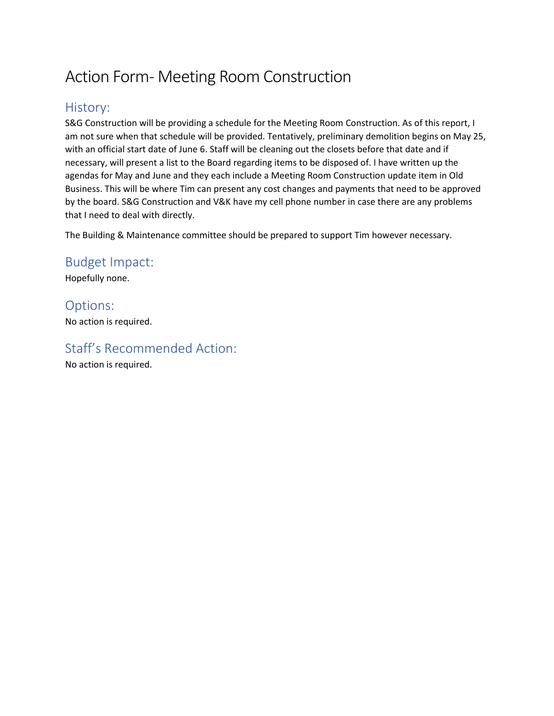## Action Form- Meeting Room Construction

## History:

S&G Construction will be providing a schedule for the Meeting Room Construction. As of this report, I am not sure when that schedule will be provided. Tentatively, preliminary demolition begins on May 25, with an official start date of June 6. Staff will be cleaning out the closets before that date and if necessary, will present a list to the Board regarding items to be disposed of. I have written up the agendas for May and June and they each include a Meeting Room Construction update item in Old Business. This will be where Tim can present any cost changes and payments that need to be approved by the board. S&G Construction and V&K have my cell phone number in case there are any problems that I need to deal with directly.

The Building & Maintenance committee should be prepared to support Tim however necessary.

Budget Impact:

Hopefully none.

Options: No action is required.

Staff's Recommended Action:

No action is required.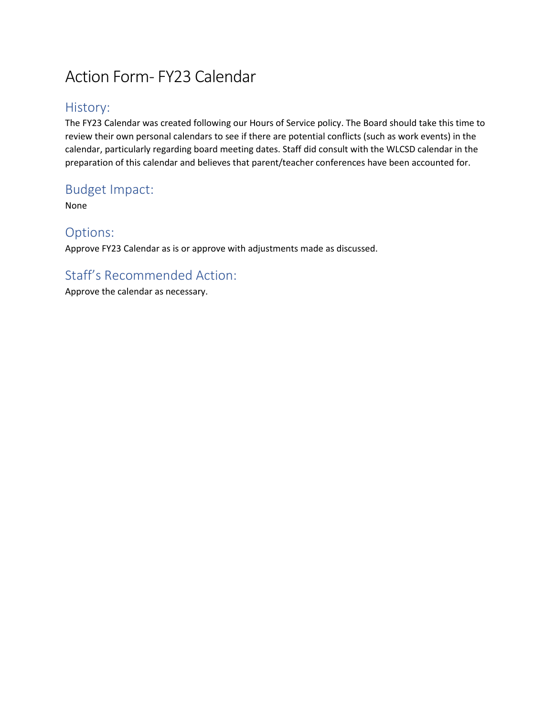## Action Form- FY23 Calendar

## History:

The FY23 Calendar was created following our Hours of Service policy. The Board should take this time to review their own personal calendars to see if there are potential conflicts (such as work events) in the calendar, particularly regarding board meeting dates. Staff did consult with the WLCSD calendar in the preparation of this calendar and believes that parent/teacher conferences have been accounted for.

## Budget Impact:

None

### Options:

Approve FY23 Calendar as is or approve with adjustments made as discussed.

## Staff's Recommended Action:

Approve the calendar as necessary.